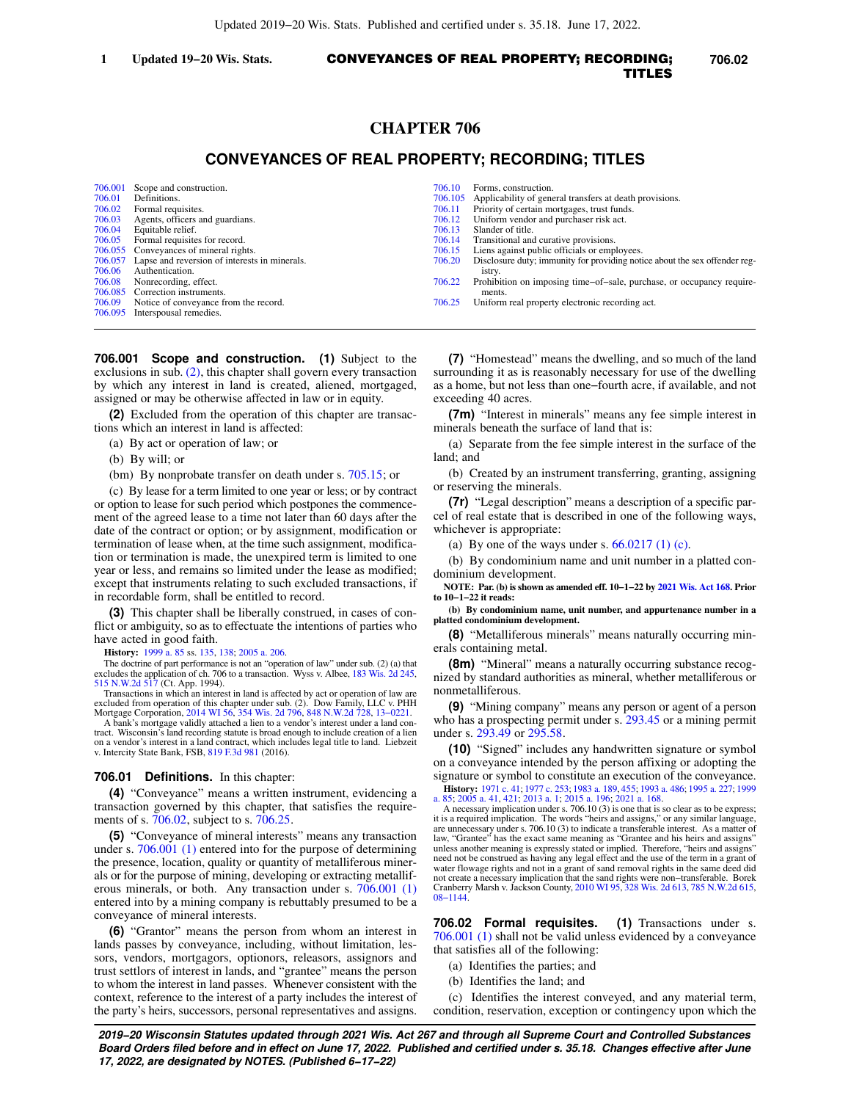# CONVEYANCES OF REAL PROPERTY; RECORDING; **1 Updated 19−20 Wis. Stats. 706.02** TITLES

# **CHAPTER 706**

# **CONVEYANCES OF REAL PROPERTY; RECORDING; TITLES**

| 706.001 | Scope and construction.                               | 706.10  | Forms, construction.                                                       |
|---------|-------------------------------------------------------|---------|----------------------------------------------------------------------------|
| 706.01  | Definitions.                                          | 706.105 | Applicability of general transfers at death provisions.                    |
| 706.02  | Formal requisites.                                    | 706.11  | Priority of certain mortgages, trust funds.                                |
| 706.03  | Agents, officers and guardians.                       | 706.12  | Uniform vendor and purchaser risk act.                                     |
| 706.04  | Equitable relief.                                     | 706.13  | Slander of title.                                                          |
| 706.05  | Formal requisites for record.                         | 706.14  | Transitional and curative provisions.                                      |
|         | 706.055 Conveyances of mineral rights.                | 706.15  | Liens against public officials or employees.                               |
|         | 706.057 Lapse and reversion of interests in minerals. | 706.20  | Disclosure duty; immunity for providing notice about the sex offender reg- |
| 706.06  | Authentication.                                       |         | istry.                                                                     |
| 706.08  | Nonrecording, effect.                                 | 706.22  | Prohibition on imposing time-of-sale, purchase, or occupancy require-      |
|         | 706.085 Correction instruments.                       |         | ments.                                                                     |
| 706.09  | Notice of conveyance from the record.                 | 706.25  | Uniform real property electronic recording act.                            |
|         | 706.095 Interspousal remedies.                        |         |                                                                            |

**706.001 Scope and construction. (1)** Subject to the exclusions in sub. [\(2\)](https://docs.legis.wisconsin.gov/document/statutes/706.001(2)), this chapter shall govern every transaction by which any interest in land is created, aliened, mortgaged, assigned or may be otherwise affected in law or in equity.

**(2)** Excluded from the operation of this chapter are transactions which an interest in land is affected:

- (a) By act or operation of law; or
- (b) By will; or
- (bm) By nonprobate transfer on death under s. [705.15;](https://docs.legis.wisconsin.gov/document/statutes/705.15) or

(c) By lease for a term limited to one year or less; or by contract or option to lease for such period which postpones the commencement of the agreed lease to a time not later than 60 days after the date of the contract or option; or by assignment, modification or termination of lease when, at the time such assignment, modification or termination is made, the unexpired term is limited to one year or less, and remains so limited under the lease as modified; except that instruments relating to such excluded transactions, if in recordable form, shall be entitled to record.

**(3)** This chapter shall be liberally construed, in cases of conflict or ambiguity, so as to effectuate the intentions of parties who have acted in good faith.

**History:** [1999 a. 85](https://docs.legis.wisconsin.gov/document/acts/1999/85) ss. [135](https://docs.legis.wisconsin.gov/document/acts/1999/85,%20s.%20135), [138](https://docs.legis.wisconsin.gov/document/acts/1999/85,%20s.%20138); [2005 a. 206.](https://docs.legis.wisconsin.gov/document/acts/2005/206)

The doctrine of part performance is not an "operation of law" under sub. (2) (a) that excludes the application of ch. 706 to a transaction. Wyss v. Albee, [183 Wis. 2d 245](https://docs.legis.wisconsin.gov/document/courts/183%20Wis.%202d%20245), [515 N.W.2d 517](https://docs.legis.wisconsin.gov/document/courts/515%20N.W.2d%20517) (Ct. App. 1994). Transactions in which an interest in land is affected by act or operation of law are

excluded from operation of this chapter under sub. (2). Dow Family, LLC v. PHH<br>Mortgage Corporation, [2014 WI 56,](https://docs.legis.wisconsin.gov/document/courts/2014%20WI%2056) [354 Wis. 2d 796](https://docs.legis.wisconsin.gov/document/courts/354%20Wis.%202d%20796), [848 N.W.2d 728,](https://docs.legis.wisconsin.gov/document/courts/848%20N.W.2d%20728) 13-0221.<br>A bank's mortgage validly attached a lien to a vendor's interest un

tract. Wisconsin's land recording statute is broad enough to include creation of a lien on a vendor's interest in a land contract, which includes legal title to land. Liebzeit v. Intercity State Bank, FSB, [819 F.3d 981](https://docs.legis.wisconsin.gov/document/courts/819%20F.3d%20981) (2016).

#### **706.01 Definitions.** In this chapter:

**(4)** "Conveyance" means a written instrument, evidencing a transaction governed by this chapter, that satisfies the requirements of s. [706.02](https://docs.legis.wisconsin.gov/document/statutes/706.02), subject to s. [706.25](https://docs.legis.wisconsin.gov/document/statutes/706.25).

**(5)** "Conveyance of mineral interests" means any transaction under s. [706.001 \(1\)](https://docs.legis.wisconsin.gov/document/statutes/706.001(1)) entered into for the purpose of determining the presence, location, quality or quantity of metalliferous minerals or for the purpose of mining, developing or extracting metalliferous minerals, or both. Any transaction under s. [706.001 \(1\)](https://docs.legis.wisconsin.gov/document/statutes/706.001(1)) entered into by a mining company is rebuttably presumed to be a conveyance of mineral interests.

**(6)** "Grantor" means the person from whom an interest in lands passes by conveyance, including, without limitation, lessors, vendors, mortgagors, optionors, releasors, assignors and trust settlors of interest in lands, and "grantee" means the person to whom the interest in land passes. Whenever consistent with the context, reference to the interest of a party includes the interest of the party's heirs, successors, personal representatives and assigns.

**(7)** "Homestead" means the dwelling, and so much of the land surrounding it as is reasonably necessary for use of the dwelling as a home, but not less than one−fourth acre, if available, and not exceeding 40 acres.

**(7m)** "Interest in minerals" means any fee simple interest in minerals beneath the surface of land that is:

(a) Separate from the fee simple interest in the surface of the land; and

(b) Created by an instrument transferring, granting, assigning or reserving the minerals.

**(7r)** "Legal description" means a description of a specific parcel of real estate that is described in one of the following ways, whichever is appropriate:

(a) By one of the ways under s.  $66.0217(1)$  (c).

(b) By condominium name and unit number in a platted condominium development.

**NOTE: Par. (b) is shown as amended eff. 10−1−22 by [2021 Wis. Act 168](https://docs.legis.wisconsin.gov/document/acts/2021/168). Prior to 10−1−22 it reads:**

**(b) By condominium name, unit number, and appurtenance number in a platted condominium development.**

**(8)** "Metalliferous minerals" means naturally occurring minerals containing metal.

**(8m)** "Mineral" means a naturally occurring substance recognized by standard authorities as mineral, whether metalliferous or nonmetalliferous.

**(9)** "Mining company" means any person or agent of a person who has a prospecting permit under s. [293.45](https://docs.legis.wisconsin.gov/document/statutes/293.45) or a mining permit under s. [293.49](https://docs.legis.wisconsin.gov/document/statutes/293.49) or [295.58.](https://docs.legis.wisconsin.gov/document/statutes/295.58)

**(10)** "Signed" includes any handwritten signature or symbol on a conveyance intended by the person affixing or adopting the signature or symbol to constitute an execution of the conveyance.

**History:** [1971 c. 41;](https://docs.legis.wisconsin.gov/document/acts/1971/41) [1977 c. 253](https://docs.legis.wisconsin.gov/document/acts/1977/253); [1983 a. 189](https://docs.legis.wisconsin.gov/document/acts/1983/189), [455;](https://docs.legis.wisconsin.gov/document/acts/1983/455) [1993 a. 486](https://docs.legis.wisconsin.gov/document/acts/1993/486); [1995 a. 227](https://docs.legis.wisconsin.gov/document/acts/1995/227); [1999](https://docs.legis.wisconsin.gov/document/acts/1999/85) [a. 85;](https://docs.legis.wisconsin.gov/document/acts/1999/85) [2005 a. 41,](https://docs.legis.wisconsin.gov/document/acts/2005/41) [421;](https://docs.legis.wisconsin.gov/document/acts/2005/421) [2013 a. 1;](https://docs.legis.wisconsin.gov/document/acts/2013/1) [2015 a. 196](https://docs.legis.wisconsin.gov/document/acts/2015/196); [2021 a. 168.](https://docs.legis.wisconsin.gov/document/acts/2021/168)

A necessary implication under s. 706.10 (3) is one that is so clear as to be express; it is a required implication. The words "heirs and assigns," or any similar language, are unnecessary under s. 706.10 (3) to indicate a transferable interest. As a matter of law, "Grantee" has the exact same meaning as "Grantee and his heirs and assigns" unless another meaning is expressly stated or implied. Therefore, "heirs and assigns" need not be construed as having any legal effect and the use of the term in a grant of water flowage rights and not in a grant of sand removal rights in the same deed did not create a necessary implication that the sand rights were non−transferable. Borek Cranberry Marsh v. Jackson County, [2010 WI 95](https://docs.legis.wisconsin.gov/document/courts/2010%20WI%2095), [328 Wis. 2d 613](https://docs.legis.wisconsin.gov/document/courts/328%20Wis.%202d%20613), [785 N.W.2d 615](https://docs.legis.wisconsin.gov/document/courts/785%20N.W.2d%20615), [08−1144](https://docs.legis.wisconsin.gov/document/wisupremecourt/08-1144).

**706.02 Formal requisites. (1)** Transactions under s. [706.001 \(1\)](https://docs.legis.wisconsin.gov/document/statutes/706.001(1)) shall not be valid unless evidenced by a conveyance that satisfies all of the following:

- (a) Identifies the parties; and
- (b) Identifies the land; and

(c) Identifies the interest conveyed, and any material term, condition, reservation, exception or contingency upon which the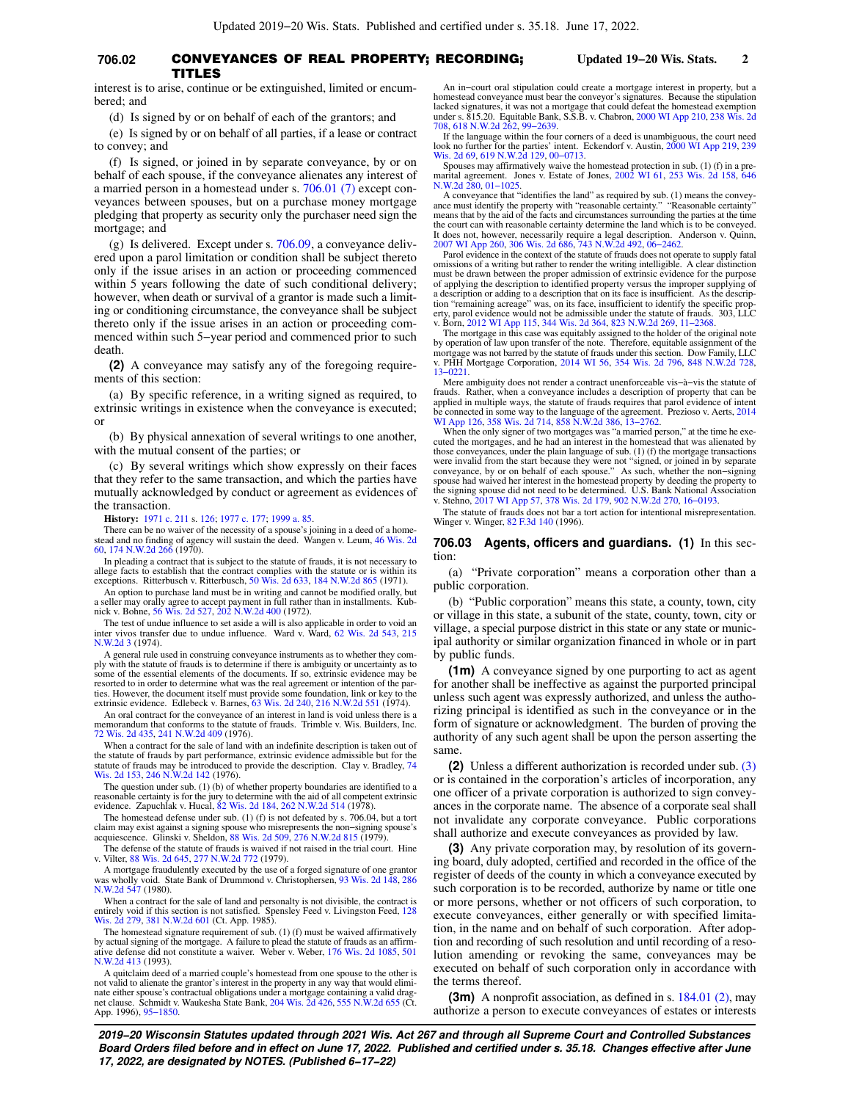## **706.02** CONVEYANCES OF REAL PROPERTY; RECORDING; **Updated 19−20 Wis. Stats. 2** TITLES

interest is to arise, continue or be extinguished, limited or encumbered; and

(d) Is signed by or on behalf of each of the grantors; and

(e) Is signed by or on behalf of all parties, if a lease or contract to convey; and

(f) Is signed, or joined in by separate conveyance, by or on behalf of each spouse, if the conveyance alienates any interest of a married person in a homestead under s. [706.01 \(7\)](https://docs.legis.wisconsin.gov/document/statutes/706.01(7)) except conveyances between spouses, but on a purchase money mortgage pledging that property as security only the purchaser need sign the mortgage; and

(g) Is delivered. Except under s. [706.09,](https://docs.legis.wisconsin.gov/document/statutes/706.09) a conveyance delivered upon a parol limitation or condition shall be subject thereto only if the issue arises in an action or proceeding commenced within 5 years following the date of such conditional delivery; however, when death or survival of a grantor is made such a limiting or conditioning circumstance, the conveyance shall be subject thereto only if the issue arises in an action or proceeding commenced within such 5−year period and commenced prior to such death.

**(2)** A conveyance may satisfy any of the foregoing requirements of this section:

(a) By specific reference, in a writing signed as required, to extrinsic writings in existence when the conveyance is executed; or

(b) By physical annexation of several writings to one another, with the mutual consent of the parties; or

(c) By several writings which show expressly on their faces that they refer to the same transaction, and which the parties have mutually acknowledged by conduct or agreement as evidences of the transaction.

**History:** [1971 c. 211](https://docs.legis.wisconsin.gov/document/acts/1971/211) s. [126;](https://docs.legis.wisconsin.gov/document/acts/1971/211,%20s.%20126) [1977 c. 177](https://docs.legis.wisconsin.gov/document/acts/1977/177); [1999 a. 85](https://docs.legis.wisconsin.gov/document/acts/1999/85).

There can be no waiver of the necessity of a spouse's joining in a deed of a home-stead and no finding of agency will sustain the deed. Wangen v. Leum, [46 Wis. 2d](https://docs.legis.wisconsin.gov/document/courts/46%20Wis.%202d%2060) [60,](https://docs.legis.wisconsin.gov/document/courts/46%20Wis.%202d%2060) [174 N.W.2d 266](https://docs.legis.wisconsin.gov/document/courts/174%20N.W.2d%20266) (1970).

In pleading a contract that is subject to the statute of frauds, it is not necessary to allege facts to establish that the contract complies with the statute or is within its exceptions. Ritterbusch v. Ritterbusch, [50 Wis. 2d 633,](https://docs.legis.wisconsin.gov/document/courts/50%20Wis.%202d%20633) [184 N.W.2d 865](https://docs.legis.wisconsin.gov/document/courts/184%20N.W.2d%20865) (1971).

An option to purchase land must be in writing and cannot be modified orally, but a seller may orally agree to accept payment in full rather than in installments. Kub-nick v. Bohne, [56 Wis. 2d 527,](https://docs.legis.wisconsin.gov/document/courts/56%20Wis.%202d%20527) [202 N.W.2d 400](https://docs.legis.wisconsin.gov/document/courts/202%20N.W.2d%20400) (1972).

The test of undue influence to set aside a will is also applicable in order to void an inter vivos transfer due to undue influence. Ward v. Ward, [62 Wis. 2d 543](https://docs.legis.wisconsin.gov/document/courts/62%20Wis.%202d%20543), [215](https://docs.legis.wisconsin.gov/document/courts/215%20N.W.2d%203) [N.W.2d 3](https://docs.legis.wisconsin.gov/document/courts/215%20N.W.2d%203) (1974).

A general rule used in construing conveyance instruments as to whether they com-ply with the statute of frauds is to determine if there is ambiguity or uncertainty as to some of the essential elements of the documents. If so, extrinsic evidence may be resorted to in order to determine what was the real agreement or intention of the par-ties. However, the document itself must provide some foundation, link or key to the extrinsic evidence. Edlebeck v. Barnes, [63 Wis. 2d 240,](https://docs.legis.wisconsin.gov/document/courts/63%20Wis.%202d%20240) [216 N.W.2d 551](https://docs.legis.wisconsin.gov/document/courts/216%20N.W.2d%20551) (1974).

An oral contract for the conveyance of an interest in land is void unless there is a memorandum that conforms to the statute of frauds. Trimble v. Wis. Builders, Inc. [72 Wis. 2d 435](https://docs.legis.wisconsin.gov/document/courts/72%20Wis.%202d%20435), [241 N.W.2d 409](https://docs.legis.wisconsin.gov/document/courts/241%20N.W.2d%20409) (1976).

When a contract for the sale of land with an indefinite description is taken out of the statute of frauds by part performance, extrinsic evidence admissible but for the statute of frauds may be introduced to provide the description. Clay v. Bradley, [74](https://docs.legis.wisconsin.gov/document/courts/74%20Wis.%202d%20153) [Wis. 2d 153,](https://docs.legis.wisconsin.gov/document/courts/74%20Wis.%202d%20153) [246 N.W.2d 142](https://docs.legis.wisconsin.gov/document/courts/246%20N.W.2d%20142) (1976).

The question under sub. (1) (b) of whether property boundaries are identified to a reasonable certainty is for the jury to determine with the aid of all competent extrinsic evidence. Zapuchlak v. Hucal, [82 Wis. 2d 184,](https://docs.legis.wisconsin.gov/document/courts/82%20Wis.%202d%20184) 262

The homestead defense under sub. (1) (f) is not defeated by s. 706.04, but a tort claim may exist against a signing spouse who misrepresents the non−signing spouse's acquiescence. Glinski v. Sheldon, [88 Wis. 2d 509](https://docs.legis.wisconsin.gov/document/courts/88%20Wis.%202d%20509), [276 N.W.2d 815](https://docs.legis.wisconsin.gov/document/courts/276%20N.W.2d%20815) (1979).

The defense of the statute of frauds is waived if not raised in the trial court. Hine v. Vilter, [88 Wis. 2d 645](https://docs.legis.wisconsin.gov/document/courts/88%20Wis.%202d%20645), [277 N.W.2d 772](https://docs.legis.wisconsin.gov/document/courts/277%20N.W.2d%20772) (1979).

A mortgage fraudulently executed by the use of a forged signature of one grantor was wholly void. State Bank of Drummond v. Christophersen, [93 Wis. 2d 148](https://docs.legis.wisconsin.gov/document/courts/93%20Wis.%202d%20148), [286](https://docs.legis.wisconsin.gov/document/courts/286%20N.W.2d%20547) [N.W.2d 547](https://docs.legis.wisconsin.gov/document/courts/286%20N.W.2d%20547) (1980).

When a contract for the sale of land and personalty is not divisible, the contract is<br>entirely void if this section is not satisfied. Spensley Feed v. Livingston Feed, [128](https://docs.legis.wisconsin.gov/document/courts/128%20Wis.%202d%20279)<br>[Wis. 2d 279,](https://docs.legis.wisconsin.gov/document/courts/128%20Wis.%202d%20279) [381 N.W.2d 601](https://docs.legis.wisconsin.gov/document/courts/381%20N.W.2d%20601) (Ct. App. 1985).

The homestead signature requirement of sub. (1) (f) must be waived affirmatively by actual signing of the mortgage. A failure to plead the statute of frauds as an affirm-ative defense did not constitute a waiver. Weber v. Weber, [176 Wis. 2d 1085,](https://docs.legis.wisconsin.gov/document/courts/176%20Wis.%202d%201085) [501](https://docs.legis.wisconsin.gov/document/courts/501%20N.W.2d%20413) [N.W.2d 413](https://docs.legis.wisconsin.gov/document/courts/501%20N.W.2d%20413) (1993).

A quitclaim deed of a married couple's homestead from one spouse to the other is not valid to alienate the grantor's interest in the property in any way that would eliminate either spouse's contractual obligations under a mortgage containing a valid dragnet clause. Schmidt v. Waukesha State Bank, [204 Wis. 2d 426](https://docs.legis.wisconsin.gov/document/courts/204%20Wis.%202d%20426), [555 N.W.2d 655](https://docs.legis.wisconsin.gov/document/courts/555%20N.W.2d%20655) (Ct. App. 1996), [95−1850.](https://docs.legis.wisconsin.gov/document/wicourtofappeals/95-1850)

An in−court oral stipulation could create a mortgage interest in property, but a homestead conveyance must bear the conveyor's signatures. Because the stipulation lacked signatures, it was not a mortgage that could defeat the homestead exemption under s. 815.20. Equitable Bank, S.S.B. v. Chabron, [2000 WI App 210,](https://docs.legis.wisconsin.gov/document/courts/2000%20WI%20App%20210) [238 Wis. 2d](https://docs.legis.wisconsin.gov/document/courts/238%20Wis.%202d%20708) [708,](https://docs.legis.wisconsin.gov/document/courts/238%20Wis.%202d%20708) [618 N.W.2d 262](https://docs.legis.wisconsin.gov/document/courts/618%20N.W.2d%20262), [99−2639](https://docs.legis.wisconsin.gov/document/wicourtofappeals/99-2639).

If the language within the four corners of a deed is unambiguous, the court need look no further for the parties' intent. Eckendorf v. Austin, [2000 WI App 219](https://docs.legis.wisconsin.gov/document/courts/2000%20WI%20App%20219), [239](https://docs.legis.wisconsin.gov/document/courts/239%20Wis.%202d%2069)

[Wis. 2d 69](https://docs.legis.wisconsin.gov/document/courts/239%20Wis.%202d%2069), [619 N.W.2d 129,](https://docs.legis.wisconsin.gov/document/courts/619%20N.W.2d%20129) [00−0713](https://docs.legis.wisconsin.gov/document/wicourtofappeals/00-0713). Spouses may affirmatively waive the homestead protection in sub. (1) (f) in a premarital agreement. Jones v. Estate of Jones, [2002 WI 61](https://docs.legis.wisconsin.gov/document/courts/2002%20WI%2061), [253 Wis. 2d 158,](https://docs.legis.wisconsin.gov/document/courts/253%20Wis.%202d%20158) [646](https://docs.legis.wisconsin.gov/document/courts/646%20N.W.2d%20280) [N.W.2d 280,](https://docs.legis.wisconsin.gov/document/courts/646%20N.W.2d%20280) [01−1025.](https://docs.legis.wisconsin.gov/document/wisupremecourt/01-1025)

A conveyance that "identifies the land" as required by sub. (1) means the convey-ance must identify the property with "reasonable certainty." "Reasonable certainty" means that by the aid of the facts and circumstances surrounding the parties at the time the court can with reasonable certainty determine the land which is to be conveyed. It does not, however, necessarily require a legal description. Anderson v. Quinn, [2007 WI App 260,](https://docs.legis.wisconsin.gov/document/courts/2007%20WI%20App%20260) [306 Wis. 2d 686](https://docs.legis.wisconsin.gov/document/courts/306%20Wis.%202d%20686), [743 N.W.2d 492](https://docs.legis.wisconsin.gov/document/courts/743%20N.W.2d%20492), [06−2462](https://docs.legis.wisconsin.gov/document/wicourtofappeals/06-2462).

Parol evidence in the context of the statute of frauds does not operate to supply fatal omissions of a writing but rather to render the writing intelligible. A clear distinction must be drawn between the proper admission of extrinsic evidence for the purpose of applying the description to identified property versus the improper supplying of a description or adding to a description that on its face is insufficient. As the description "remaining acreage" was, on its face, insufficient to identify the specific property, parol evidence would not be admissible under the statute of frauds. 303, LLC v. Born, [2012 WI App 115,](https://docs.legis.wisconsin.gov/document/courts/2012%20WI%20App%20115) [344 Wis. 2d 364](https://docs.legis.wisconsin.gov/document/courts/344%20Wis.%202d%20364), [823 N.W.2d 269,](https://docs.legis.wisconsin.gov/document/courts/823%20N.W.2d%20269) [11−2368.](https://docs.legis.wisconsin.gov/document/wicourtofappeals/11-2368)

The mortgage in this case was equitably assigned to the holder of the original note by operation of law upon transfer of the note. Therefore, equitable assignment of the mortgage was not barred by the statute of frauds under this section. Dow Family, LLC v. PHH Mortgage Corporation, [2014 WI 56](https://docs.legis.wisconsin.gov/document/courts/2014%20WI%2056), [354 Wis. 2d 796,](https://docs.legis.wisconsin.gov/document/courts/354%20Wis.%202d%20796) [848 N.W.2d 728](https://docs.legis.wisconsin.gov/document/courts/848%20N.W.2d%20728), [13−0221.](https://docs.legis.wisconsin.gov/document/wisupremecourt/13-0221)

Mere ambiguity does not render a contract unenforceable vis−à−vis the statute of frauds. Rather, when a conveyance includes a description of property that can be applied in multiple ways, the statute of frauds requires that parol evidence of intent be connected in some way to the language of the agreement. Prezioso v. Aerts, [2014](https://docs.legis.wisconsin.gov/document/courts/2014%20WI%20App%20126) [WI App 126](https://docs.legis.wisconsin.gov/document/courts/2014%20WI%20App%20126), [358 Wis. 2d 714,](https://docs.legis.wisconsin.gov/document/courts/358%20Wis.%202d%20714) [858 N.W.2d 386](https://docs.legis.wisconsin.gov/document/courts/858%20N.W.2d%20386), [13−2762](https://docs.legis.wisconsin.gov/document/wicourtofappeals/13-2762).

When the only signer of two mortgages was "a married person," at the time he executed the mortgages, and he had an interest in the homestead that was alienated by those conveyances, under the plain language of sub. (1) (f) the mortgage transactions were invalid from the start because they were not "signed, or joined in by separate<br>conveyance, by or on behalf of each spouse." As such, whether the non-signing<br>spouse had waived her interest in the homestead property by the signing spouse did not need to be determined. U.S. Bank National Association v. Stehno, [2017 WI App 57,](https://docs.legis.wisconsin.gov/document/courts/2017%20WI%20App%2057) [378 Wis. 2d 179](https://docs.legis.wisconsin.gov/document/courts/378%20Wis.%202d%20179), [902 N.W.2d 270](https://docs.legis.wisconsin.gov/document/courts/902%20N.W.2d%20270), [16−0193](https://docs.legis.wisconsin.gov/document/wicourtofappeals/16-0193).

The statute of frauds does not bar a tort action for intentional misrepresentation. Winger v. Winger, [82 F.3d 140](https://docs.legis.wisconsin.gov/document/courts/82%20F.3d%20140) (1996).

**706.03 Agents, officers and guardians. (1)** In this section:

(a) "Private corporation" means a corporation other than a public corporation.

(b) "Public corporation" means this state, a county, town, city or village in this state, a subunit of the state, county, town, city or village, a special purpose district in this state or any state or municipal authority or similar organization financed in whole or in part by public funds.

**(1m)** A conveyance signed by one purporting to act as agent for another shall be ineffective as against the purported principal unless such agent was expressly authorized, and unless the authorizing principal is identified as such in the conveyance or in the form of signature or acknowledgment. The burden of proving the authority of any such agent shall be upon the person asserting the same.

**(2)** Unless a different authorization is recorded under sub. [\(3\)](https://docs.legis.wisconsin.gov/document/statutes/706.03(3)) or is contained in the corporation's articles of incorporation, any one officer of a private corporation is authorized to sign conveyances in the corporate name. The absence of a corporate seal shall not invalidate any corporate conveyance. Public corporations shall authorize and execute conveyances as provided by law.

**(3)** Any private corporation may, by resolution of its governing board, duly adopted, certified and recorded in the office of the register of deeds of the county in which a conveyance executed by such corporation is to be recorded, authorize by name or title one or more persons, whether or not officers of such corporation, to execute conveyances, either generally or with specified limitation, in the name and on behalf of such corporation. After adoption and recording of such resolution and until recording of a resolution amending or revoking the same, conveyances may be executed on behalf of such corporation only in accordance with the terms thereof.

**(3m)** A nonprofit association, as defined in s. [184.01 \(2\),](https://docs.legis.wisconsin.gov/document/statutes/184.01(2)) may authorize a person to execute conveyances of estates or interests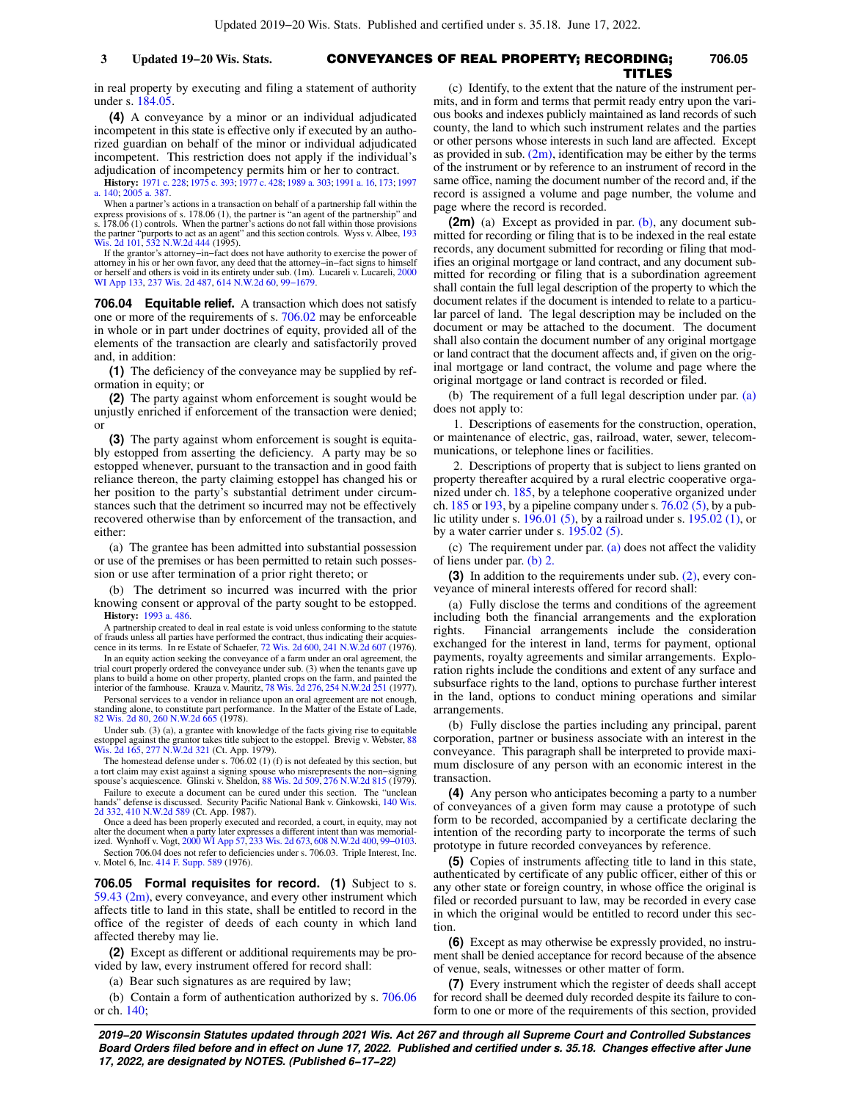#### CONVEYANCES OF REAL PROPERTY; RECORDING; **3 Updated 19−20 Wis. Stats. 706.05** TITLES

in real property by executing and filing a statement of authority under s. [184.05.](https://docs.legis.wisconsin.gov/document/statutes/184.05)

**(4)** A conveyance by a minor or an individual adjudicated incompetent in this state is effective only if executed by an authorized guardian on behalf of the minor or individual adjudicated incompetent. This restriction does not apply if the individual's adjudication of incompetency permits him or her to contract.

**History:** [1971 c. 228;](https://docs.legis.wisconsin.gov/document/acts/1971/228) [1975 c. 393;](https://docs.legis.wisconsin.gov/document/acts/1975/393) [1977 c. 428](https://docs.legis.wisconsin.gov/document/acts/1977/428); [1989 a. 303](https://docs.legis.wisconsin.gov/document/acts/1989/303); [1991 a. 16,](https://docs.legis.wisconsin.gov/document/acts/1991/16) [173;](https://docs.legis.wisconsin.gov/document/acts/1991/173) [1997](https://docs.legis.wisconsin.gov/document/acts/1997/140) [a. 140;](https://docs.legis.wisconsin.gov/document/acts/1997/140) [2005 a. 387.](https://docs.legis.wisconsin.gov/document/acts/2005/387)

When a partner's actions in a transaction on behalf of a partnership fall within the express provisions of s. 178.06 (1), the partner is "an agent of the partnership" and s. 178.06 (1) controls. When the partner's actions do not fall within those provisions the partner "purports to act as an agent" and this section controls. Wyss v. Albee, [193](https://docs.legis.wisconsin.gov/document/courts/193%20Wis.%202d%20101) [Wis. 2d 101,](https://docs.legis.wisconsin.gov/document/courts/193%20Wis.%202d%20101) [532 N.W.2d 444](https://docs.legis.wisconsin.gov/document/courts/532%20N.W.2d%20444) (1995).

If the grantor's attorney−in−fact does not have authority to exercise the power of attorney in his or her own favor, any deed that the attorney−in−fact signs to himself or herself and others is void in its entirety under sub. (1m). Lucareli v. Lucareli, [2000](https://docs.legis.wisconsin.gov/document/courts/2000%20WI%20App%20133) [WI App 133,](https://docs.legis.wisconsin.gov/document/courts/2000%20WI%20App%20133) [237 Wis. 2d 487](https://docs.legis.wisconsin.gov/document/courts/237%20Wis.%202d%20487), [614 N.W.2d 60,](https://docs.legis.wisconsin.gov/document/courts/614%20N.W.2d%2060) [99−1679.](https://docs.legis.wisconsin.gov/document/wicourtofappeals/99-1679)

**706.04 Equitable relief.** A transaction which does not satisfy one or more of the requirements of s. [706.02](https://docs.legis.wisconsin.gov/document/statutes/706.02) may be enforceable in whole or in part under doctrines of equity, provided all of the elements of the transaction are clearly and satisfactorily proved and, in addition:

**(1)** The deficiency of the conveyance may be supplied by reformation in equity; or

**(2)** The party against whom enforcement is sought would be unjustly enriched if enforcement of the transaction were denied; or

**(3)** The party against whom enforcement is sought is equitably estopped from asserting the deficiency. A party may be so estopped whenever, pursuant to the transaction and in good faith reliance thereon, the party claiming estoppel has changed his or her position to the party's substantial detriment under circumstances such that the detriment so incurred may not be effectively recovered otherwise than by enforcement of the transaction, and either:

(a) The grantee has been admitted into substantial possession or use of the premises or has been permitted to retain such possession or use after termination of a prior right thereto; or

(b) The detriment so incurred was incurred with the prior knowing consent or approval of the party sought to be estopped. **History:** [1993 a. 486](https://docs.legis.wisconsin.gov/document/acts/1993/486).

A partnership created to deal in real estate is void unless conforming to the statute of frauds unless all parties have performed the contract, thus indicating their acquiescence in its terms. In re Estate of Schaefer, [72 Wis. 2d 600](https://docs.legis.wisconsin.gov/document/courts/72%20Wis.%202d%20600), [241 N.W.2d 607](https://docs.legis.wisconsin.gov/document/courts/241%20N.W.2d%20607) (1976).

In an equity action seeking the conveyance of a farm under an oral agreement, the trial court properly ordered the conveyance under sub. (3) when the tenants gave up plans to build a home on other property, planted crops on the farm, and painted the interior of the farmhouse. Krauza v. Mauritz, [78 Wis. 2d 276](https://docs.legis.wisconsin.gov/document/courts/78%20Wis.%202d%20276), [254 N.W.2d 251](https://docs.legis.wisconsin.gov/document/courts/254%20N.W.2d%20251) (1977).

Personal services to a vendor in reliance upon an oral agreement are not enough, standing alone, to constitute part performance. In the Matter of the Estate of Lade, [82 Wis. 2d 80,](https://docs.legis.wisconsin.gov/document/courts/82%20Wis.%202d%2080) [260 N.W.2d 665](https://docs.legis.wisconsin.gov/document/courts/260%20N.W.2d%20665) (1978).

Under sub. (3) (a), a grantee with knowledge of the facts giving rise to equitable estoppel against the grantor takes title subject to the estoppel. Brevig v. Webster, [88](https://docs.legis.wisconsin.gov/document/courts/88%20Wis.%202d%20165) [Wis. 2d 165,](https://docs.legis.wisconsin.gov/document/courts/88%20Wis.%202d%20165) [277 N.W.2d 321](https://docs.legis.wisconsin.gov/document/courts/277%20N.W.2d%20321) (Ct. App. 1979).

The homestead defense under s. 706.02 (1) (f) is not defeated by this section, but a tort claim may exist against a signing spouse who misrepresents the non−signing spouse's acquiescence. Glinski v. Sheldon, [88 Wis. 2d 509,](https://docs.legis.wisconsin.gov/document/courts/88%20Wis.%202d%20509) [276 N.W.2d 815](https://docs.legis.wisconsin.gov/document/courts/276%20N.W.2d%20815) (1979).

Failure to execute a document can be cured under this section. The "unclean hands" defense is discussed. Security Pacific National Bank v. Ginkowski, [140 Wis.](https://docs.legis.wisconsin.gov/document/courts/140%20Wis.%202d%20332)<br> [2d 332](https://docs.legis.wisconsin.gov/document/courts/140%20Wis.%202d%20332), [410 N.W.2d 589](https://docs.legis.wisconsin.gov/document/courts/410%20N.W.2d%20589) (Ct. App. 1987).<br>
Once a deed has been properly executed and recorded, a court, in equity, may not

alter the document when a party later expresses a different intent than was memorial-ized. Wynhoff v. Vogt, [2000 WI App 57](https://docs.legis.wisconsin.gov/document/courts/2000%20WI%20App%2057), [233 Wis. 2d 673](https://docs.legis.wisconsin.gov/document/courts/233%20Wis.%202d%20673), [608 N.W.2d 400,](https://docs.legis.wisconsin.gov/document/courts/608%20N.W.2d%20400) [99−0103](https://docs.legis.wisconsin.gov/document/wicourtofappeals/99-0103).

Section 706.04 does not refer to deficiencies under s. 706.03. Triple Interest, Inc. v. Motel 6, Inc. [414 F. Supp. 589](https://docs.legis.wisconsin.gov/document/courts/414%20F.%20Supp.%20589) (1976).

**706.05 Formal requisites for record. (1)** Subject to s. 59.43  $(2m)$ , every conveyance, and every other instrument which affects title to land in this state, shall be entitled to record in the office of the register of deeds of each county in which land affected thereby may lie.

**(2)** Except as different or additional requirements may be provided by law, every instrument offered for record shall:

(a) Bear such signatures as are required by law;

(b) Contain a form of authentication authorized by s. [706.06](https://docs.legis.wisconsin.gov/document/statutes/706.06) or ch. [140](https://docs.legis.wisconsin.gov/document/statutes/ch.%20140);

(c) Identify, to the extent that the nature of the instrument permits, and in form and terms that permit ready entry upon the various books and indexes publicly maintained as land records of such county, the land to which such instrument relates and the parties or other persons whose interests in such land are affected. Except as provided in sub.  $(2m)$ , identification may be either by the terms of the instrument or by reference to an instrument of record in the same office, naming the document number of the record and, if the record is assigned a volume and page number, the volume and page where the record is recorded.

**(2m)** (a) Except as provided in par. [\(b\),](https://docs.legis.wisconsin.gov/document/statutes/706.05(2m)(b)) any document submitted for recording or filing that is to be indexed in the real estate records, any document submitted for recording or filing that modifies an original mortgage or land contract, and any document submitted for recording or filing that is a subordination agreement shall contain the full legal description of the property to which the document relates if the document is intended to relate to a particular parcel of land. The legal description may be included on the document or may be attached to the document. The document shall also contain the document number of any original mortgage or land contract that the document affects and, if given on the original mortgage or land contract, the volume and page where the original mortgage or land contract is recorded or filed.

(b) The requirement of a full legal description under par. [\(a\)](https://docs.legis.wisconsin.gov/document/statutes/706.05(2m)(a)) does not apply to:

1. Descriptions of easements for the construction, operation, or maintenance of electric, gas, railroad, water, sewer, telecommunications, or telephone lines or facilities.

2. Descriptions of property that is subject to liens granted on property thereafter acquired by a rural electric cooperative organized under ch. [185,](https://docs.legis.wisconsin.gov/document/statutes/ch.%20185) by a telephone cooperative organized under ch.  $185$  or  $193$ , by a pipeline company under s.  $76.02$  (5), by a public utility under s. [196.01 \(5\),](https://docs.legis.wisconsin.gov/document/statutes/196.01(5)) by a railroad under s. [195.02 \(1\),](https://docs.legis.wisconsin.gov/document/statutes/195.02(1)) or by a water carrier under s. [195.02 \(5\).](https://docs.legis.wisconsin.gov/document/statutes/195.02(5))

(c) The requirement under par.  $(a)$  does not affect the validity of liens under par. [\(b\) 2.](https://docs.legis.wisconsin.gov/document/statutes/706.05(2m)(b)2.)

**(3)** In addition to the requirements under sub. [\(2\),](https://docs.legis.wisconsin.gov/document/statutes/706.05(2)) every conveyance of mineral interests offered for record shall:

(a) Fully disclose the terms and conditions of the agreement including both the financial arrangements and the exploration rights. Financial arrangements include the consideration exchanged for the interest in land, terms for payment, optional payments, royalty agreements and similar arrangements. Exploration rights include the conditions and extent of any surface and subsurface rights to the land, options to purchase further interest in the land, options to conduct mining operations and similar arrangements.

(b) Fully disclose the parties including any principal, parent corporation, partner or business associate with an interest in the conveyance. This paragraph shall be interpreted to provide maximum disclosure of any person with an economic interest in the transaction.

**(4)** Any person who anticipates becoming a party to a number of conveyances of a given form may cause a prototype of such form to be recorded, accompanied by a certificate declaring the intention of the recording party to incorporate the terms of such prototype in future recorded conveyances by reference.

**(5)** Copies of instruments affecting title to land in this state, authenticated by certificate of any public officer, either of this or any other state or foreign country, in whose office the original is filed or recorded pursuant to law, may be recorded in every case in which the original would be entitled to record under this section.

**(6)** Except as may otherwise be expressly provided, no instrument shall be denied acceptance for record because of the absence of venue, seals, witnesses or other matter of form.

**(7)** Every instrument which the register of deeds shall accept for record shall be deemed duly recorded despite its failure to conform to one or more of the requirements of this section, provided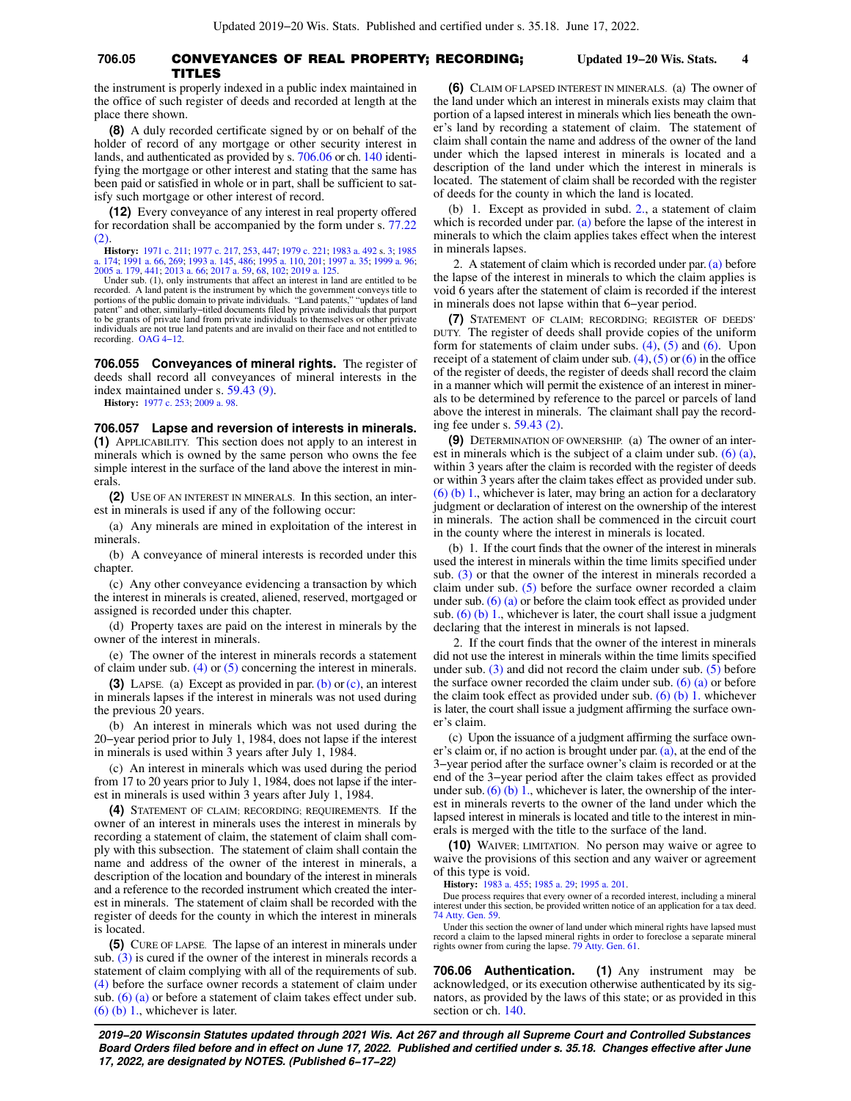## **706.05** CONVEYANCES OF REAL PROPERTY; RECORDING; **Updated 19−20 Wis. Stats. 4** TITLES

the instrument is properly indexed in a public index maintained in the office of such register of deeds and recorded at length at the place there shown.

**(8)** A duly recorded certificate signed by or on behalf of the holder of record of any mortgage or other security interest in lands, and authenticated as provided by s. [706.06](https://docs.legis.wisconsin.gov/document/statutes/706.06) or ch. [140](https://docs.legis.wisconsin.gov/document/statutes/ch.%20140) identifying the mortgage or other interest and stating that the same has been paid or satisfied in whole or in part, shall be sufficient to satisfy such mortgage or other interest of record.

**(12)** Every conveyance of any interest in real property offered for recordation shall be accompanied by the form under s. [77.22](https://docs.legis.wisconsin.gov/document/statutes/77.22(2))  $(2)$ 

**History:** [1971 c. 211](https://docs.legis.wisconsin.gov/document/acts/1971/211); [1977 c. 217](https://docs.legis.wisconsin.gov/document/acts/1977/217), [253](https://docs.legis.wisconsin.gov/document/acts/1977/253), [447](https://docs.legis.wisconsin.gov/document/acts/1977/447); [1979 c. 221](https://docs.legis.wisconsin.gov/document/acts/1979/221); [1983 a. 492](https://docs.legis.wisconsin.gov/document/acts/1983/492) s. [3;](https://docs.legis.wisconsin.gov/document/acts/1983/492,%20s.%203) [1985](https://docs.legis.wisconsin.gov/document/acts/1985/174)<br>[a. 174;](https://docs.legis.wisconsin.gov/document/acts/1985/174) [1991 a. 66,](https://docs.legis.wisconsin.gov/document/acts/1991/66) [269;](https://docs.legis.wisconsin.gov/document/acts/1991/269) [1993 a. 145](https://docs.legis.wisconsin.gov/document/acts/1993/145), [486](https://docs.legis.wisconsin.gov/document/acts/1993/486); [1995 a. 110](https://docs.legis.wisconsin.gov/document/acts/1995/110), [201](https://docs.legis.wisconsin.gov/document/acts/1995/201); [1997 a. 35](https://docs.legis.wisconsin.gov/document/acts/1997/35); [1999 a. 96](https://docs.legis.wisconsin.gov/document/acts/1999/96);<br>[2005 a. 179,](https://docs.legis.wisconsin.gov/document/acts/2005/179) [441;](https://docs.legis.wisconsin.gov/document/acts/2005/441) [2013 a. 66;](https://docs.legis.wisconsin.gov/document/acts/2013/66) [2017 a. 59](https://docs.legis.wisconsin.gov/document/acts/2017/59), [68,](https://docs.legis.wisconsin.gov/document/acts/2017/68) [102;](https://docs.legis.wisconsin.gov/document/acts/2017/102) 201

Under sub. (1), only instruments that affect an interest in land are entitled to be recorded. A land patent is the instrument by which the government conveys title to portions of the public domain to private individuals. "Land patents," "updates of land patent" and other, similarly−titled documents filed by private individuals that purport to be grants of private land from private individuals to themselves or other private individuals are not true land patents and are invalid on their face and not entitled to recording. [OAG 4−12.](https://docs.legis.wisconsin.gov/document/oag/oag4-12)

**706.055 Conveyances of mineral rights.** The register of deeds shall record all conveyances of mineral interests in the index maintained under s. [59.43 \(9\).](https://docs.legis.wisconsin.gov/document/statutes/59.43(9))

**History:** [1977 c. 253](https://docs.legis.wisconsin.gov/document/acts/1977/253); [2009 a. 98.](https://docs.legis.wisconsin.gov/document/acts/2009/98)

**706.057 Lapse and reversion of interests in minerals. (1)** APPLICABILITY. This section does not apply to an interest in minerals which is owned by the same person who owns the fee simple interest in the surface of the land above the interest in minerals.

**(2)** USE OF AN INTEREST IN MINERALS. In this section, an interest in minerals is used if any of the following occur:

(a) Any minerals are mined in exploitation of the interest in minerals.

(b) A conveyance of mineral interests is recorded under this chapter.

(c) Any other conveyance evidencing a transaction by which the interest in minerals is created, aliened, reserved, mortgaged or assigned is recorded under this chapter.

(d) Property taxes are paid on the interest in minerals by the owner of the interest in minerals.

(e) The owner of the interest in minerals records a statement of claim under sub.  $(4)$  or  $(5)$  concerning the interest in minerals.

**(3)** LAPSE. (a) Except as provided in par. [\(b\)](https://docs.legis.wisconsin.gov/document/statutes/706.057(3)(b)) or [\(c\)](https://docs.legis.wisconsin.gov/document/statutes/706.057(3)(c)), an interest in minerals lapses if the interest in minerals was not used during the previous 20 years.

(b) An interest in minerals which was not used during the 20−year period prior to July 1, 1984, does not lapse if the interest in minerals is used within 3 years after July 1, 1984.

(c) An interest in minerals which was used during the period from 17 to 20 years prior to July 1, 1984, does not lapse if the interest in minerals is used within 3 years after July 1, 1984.

**(4)** STATEMENT OF CLAIM; RECORDING; REQUIREMENTS. If the owner of an interest in minerals uses the interest in minerals by recording a statement of claim, the statement of claim shall comply with this subsection. The statement of claim shall contain the name and address of the owner of the interest in minerals, a description of the location and boundary of the interest in minerals and a reference to the recorded instrument which created the interest in minerals. The statement of claim shall be recorded with the register of deeds for the county in which the interest in minerals is located.

**(5)** CURE OF LAPSE. The lapse of an interest in minerals under sub. [\(3\)](https://docs.legis.wisconsin.gov/document/statutes/706.057(3)) is cured if the owner of the interest in minerals records a statement of claim complying with all of the requirements of sub. [\(4\)](https://docs.legis.wisconsin.gov/document/statutes/706.057(4)) before the surface owner records a statement of claim under sub.  $(6)$  (a) or before a statement of claim takes effect under sub.  $(6)$  (b) 1., whichever is later.

**(6)** CLAIM OF LAPSED INTEREST IN MINERALS. (a) The owner of the land under which an interest in minerals exists may claim that portion of a lapsed interest in minerals which lies beneath the owner's land by recording a statement of claim. The statement of claim shall contain the name and address of the owner of the land under which the lapsed interest in minerals is located and a description of the land under which the interest in minerals is located. The statement of claim shall be recorded with the register of deeds for the county in which the land is located.

(b) 1. Except as provided in subd. [2.](https://docs.legis.wisconsin.gov/document/statutes/706.057(6)(b)2.), a statement of claim which is recorded under par. [\(a\)](https://docs.legis.wisconsin.gov/document/statutes/706.057(6)(a)) before the lapse of the interest in minerals to which the claim applies takes effect when the interest in minerals lapses.

2. A statement of claim which is recorded under par. [\(a\)](https://docs.legis.wisconsin.gov/document/statutes/706.057(6)(a)) before the lapse of the interest in minerals to which the claim applies is void 6 years after the statement of claim is recorded if the interest in minerals does not lapse within that 6−year period.

**(7)** STATEMENT OF CLAIM; RECORDING; REGISTER OF DEEDS' DUTY. The register of deeds shall provide copies of the uniform form for statements of claim under subs. [\(4\),](https://docs.legis.wisconsin.gov/document/statutes/706.057(4)) [\(5\)](https://docs.legis.wisconsin.gov/document/statutes/706.057(5)) and [\(6\).](https://docs.legis.wisconsin.gov/document/statutes/706.057(6)) Upon receipt of a statement of claim under sub.  $(4)$ ,  $(5)$  or  $(6)$  in the office of the register of deeds, the register of deeds shall record the claim in a manner which will permit the existence of an interest in minerals to be determined by reference to the parcel or parcels of land above the interest in minerals. The claimant shall pay the recording fee under s. [59.43 \(2\)](https://docs.legis.wisconsin.gov/document/statutes/59.43(2)).

**(9)** DETERMINATION OF OWNERSHIP. (a) The owner of an interest in minerals which is the subject of a claim under sub. [\(6\) \(a\),](https://docs.legis.wisconsin.gov/document/statutes/706.057(6)(a)) within 3 years after the claim is recorded with the register of deeds or within 3 years after the claim takes effect as provided under sub. [\(6\) \(b\) 1.](https://docs.legis.wisconsin.gov/document/statutes/706.057(6)(b)1.), whichever is later, may bring an action for a declaratory judgment or declaration of interest on the ownership of the interest in minerals. The action shall be commenced in the circuit court in the county where the interest in minerals is located.

(b) 1. If the court finds that the owner of the interest in minerals used the interest in minerals within the time limits specified under sub. [\(3\)](https://docs.legis.wisconsin.gov/document/statutes/706.057(3)) or that the owner of the interest in minerals recorded a claim under sub. [\(5\)](https://docs.legis.wisconsin.gov/document/statutes/706.057(5)) before the surface owner recorded a claim under sub. [\(6\) \(a\)](https://docs.legis.wisconsin.gov/document/statutes/706.057(6)(a)) or before the claim took effect as provided under sub.  $(6)$  (b) 1., whichever is later, the court shall issue a judgment declaring that the interest in minerals is not lapsed.

2. If the court finds that the owner of the interest in minerals did not use the interest in minerals within the time limits specified under sub.  $(3)$  and did not record the claim under sub.  $(5)$  before the surface owner recorded the claim under sub.  $(6)$  (a) or before the claim took effect as provided under sub.  $(6)$   $(b)$  1. whichever is later, the court shall issue a judgment affirming the surface owner's claim.

(c) Upon the issuance of a judgment affirming the surface owner's claim or, if no action is brought under par. [\(a\)](https://docs.legis.wisconsin.gov/document/statutes/706.057(9)(a)), at the end of the 3−year period after the surface owner's claim is recorded or at the end of the 3−year period after the claim takes effect as provided under sub.  $(6)$   $(b)$  1., whichever is later, the ownership of the interest in minerals reverts to the owner of the land under which the lapsed interest in minerals is located and title to the interest in minerals is merged with the title to the surface of the land.

**(10)** WAIVER; LIMITATION. No person may waive or agree to waive the provisions of this section and any waiver or agreement of this type is void.

**History:** [1983 a. 455;](https://docs.legis.wisconsin.gov/document/acts/1983/455) [1985 a. 29;](https://docs.legis.wisconsin.gov/document/acts/1985/29) [1995 a. 201](https://docs.legis.wisconsin.gov/document/acts/1995/201).

Due process requires that every owner of a recorded interest, including a mineral interest under this section, be provided written notice of an application for a tax deed. [74 Atty. Gen. 59](https://docs.legis.wisconsin.gov/document/oag/vol74-59).

Under this section the owner of land under which mineral rights have lapsed must record a claim to the lapsed mineral rights in order to foreclose a separate mineral rights owner from curing the lapse. [79 Atty. Gen. 61.](https://docs.legis.wisconsin.gov/document/oag/vol79-61)

**706.06 Authentication. (1)** Any instrument may be acknowledged, or its execution otherwise authenticated by its signators, as provided by the laws of this state; or as provided in this section or ch. [140](https://docs.legis.wisconsin.gov/document/statutes/ch.%20140).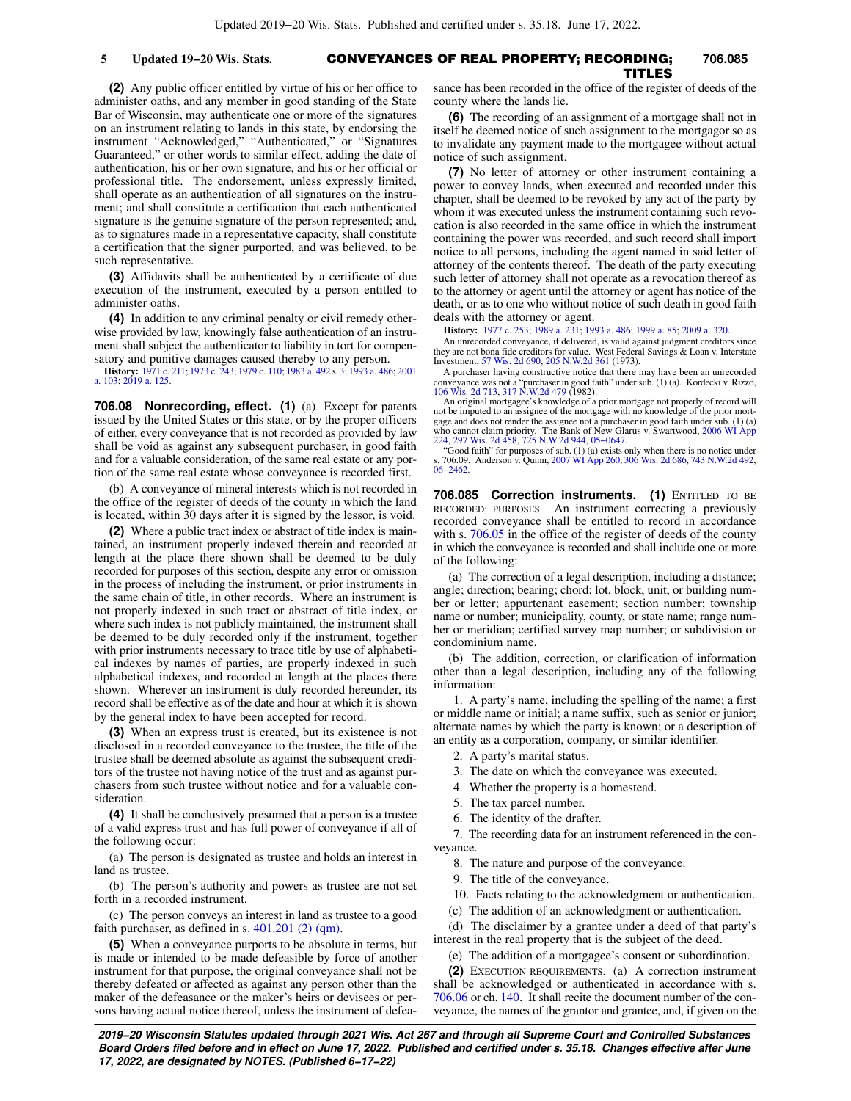# CONVEYANCES OF REAL PROPERTY; RECORDING; **5 Updated 19−20 Wis. Stats. 706.085** TITLES

**(2)** Any public officer entitled by virtue of his or her office to administer oaths, and any member in good standing of the State Bar of Wisconsin, may authenticate one or more of the signatures on an instrument relating to lands in this state, by endorsing the instrument "Acknowledged," "Authenticated," or "Signatures Guaranteed," or other words to similar effect, adding the date of authentication, his or her own signature, and his or her official or professional title. The endorsement, unless expressly limited, shall operate as an authentication of all signatures on the instrument; and shall constitute a certification that each authenticated signature is the genuine signature of the person represented; and, as to signatures made in a representative capacity, shall constitute a certification that the signer purported, and was believed, to be such representative.

**(3)** Affidavits shall be authenticated by a certificate of due execution of the instrument, executed by a person entitled to administer oaths.

**(4)** In addition to any criminal penalty or civil remedy otherwise provided by law, knowingly false authentication of an instrument shall subject the authenticator to liability in tort for compensatory and punitive damages caused thereby to any person.

**History:** [1971 c. 211;](https://docs.legis.wisconsin.gov/document/acts/1971/211) [1973 c. 243](https://docs.legis.wisconsin.gov/document/acts/1973/243); [1979 c. 110;](https://docs.legis.wisconsin.gov/document/acts/1979/110) [1983 a. 492](https://docs.legis.wisconsin.gov/document/acts/1983/492) s. [3;](https://docs.legis.wisconsin.gov/document/acts/1983/492,%20s.%203) [1993 a. 486;](https://docs.legis.wisconsin.gov/document/acts/1993/486) [2001](https://docs.legis.wisconsin.gov/document/acts/2001/103) [a. 103;](https://docs.legis.wisconsin.gov/document/acts/2001/103) [2019 a. 125.](https://docs.legis.wisconsin.gov/document/acts/2019/125)

**706.08 Nonrecording, effect. (1)** (a) Except for patents issued by the United States or this state, or by the proper officers of either, every conveyance that is not recorded as provided by law shall be void as against any subsequent purchaser, in good faith and for a valuable consideration, of the same real estate or any portion of the same real estate whose conveyance is recorded first.

(b) A conveyance of mineral interests which is not recorded in the office of the register of deeds of the county in which the land is located, within 30 days after it is signed by the lessor, is void.

**(2)** Where a public tract index or abstract of title index is maintained, an instrument properly indexed therein and recorded at length at the place there shown shall be deemed to be duly recorded for purposes of this section, despite any error or omission in the process of including the instrument, or prior instruments in the same chain of title, in other records. Where an instrument is not properly indexed in such tract or abstract of title index, or where such index is not publicly maintained, the instrument shall be deemed to be duly recorded only if the instrument, together with prior instruments necessary to trace title by use of alphabetical indexes by names of parties, are properly indexed in such alphabetical indexes, and recorded at length at the places there shown. Wherever an instrument is duly recorded hereunder, its record shall be effective as of the date and hour at which it is shown by the general index to have been accepted for record.

**(3)** When an express trust is created, but its existence is not disclosed in a recorded conveyance to the trustee, the title of the trustee shall be deemed absolute as against the subsequent creditors of the trustee not having notice of the trust and as against purchasers from such trustee without notice and for a valuable consideration.

**(4)** It shall be conclusively presumed that a person is a trustee of a valid express trust and has full power of conveyance if all of the following occur:

(a) The person is designated as trustee and holds an interest in land as trustee.

(b) The person's authority and powers as trustee are not set forth in a recorded instrument.

(c) The person conveys an interest in land as trustee to a good faith purchaser, as defined in s.  $401.201$  (2) (qm).

**(5)** When a conveyance purports to be absolute in terms, but is made or intended to be made defeasible by force of another instrument for that purpose, the original conveyance shall not be thereby defeated or affected as against any person other than the maker of the defeasance or the maker's heirs or devisees or persons having actual notice thereof, unless the instrument of defeasance has been recorded in the office of the register of deeds of the county where the lands lie.

**(6)** The recording of an assignment of a mortgage shall not in itself be deemed notice of such assignment to the mortgagor so as to invalidate any payment made to the mortgagee without actual notice of such assignment.

**(7)** No letter of attorney or other instrument containing a power to convey lands, when executed and recorded under this chapter, shall be deemed to be revoked by any act of the party by whom it was executed unless the instrument containing such revocation is also recorded in the same office in which the instrument containing the power was recorded, and such record shall import notice to all persons, including the agent named in said letter of attorney of the contents thereof. The death of the party executing such letter of attorney shall not operate as a revocation thereof as to the attorney or agent until the attorney or agent has notice of the death, or as to one who without notice of such death in good faith deals with the attorney or agent.

#### **History:** [1977 c. 253;](https://docs.legis.wisconsin.gov/document/acts/1977/253) [1989 a. 231](https://docs.legis.wisconsin.gov/document/acts/1989/231); [1993 a. 486;](https://docs.legis.wisconsin.gov/document/acts/1993/486) [1999 a. 85](https://docs.legis.wisconsin.gov/document/acts/1999/85); [2009 a. 320.](https://docs.legis.wisconsin.gov/document/acts/2009/320)

An unrecorded conveyance, if delivered, is valid against judgment creditors since they are not bona fide creditors for value. West Federal Savings & Loan v. Interstate Investment, [57 Wis. 2d 690](https://docs.legis.wisconsin.gov/document/courts/57%20Wis.%202d%20690), [205 N.W.2d 361](https://docs.legis.wisconsin.gov/document/courts/205%20N.W.2d%20361) (1973).

A purchaser having constructive notice that there may have been an unrecorded conveyance was not a "purchaser in good faith" under sub. (1) (a). Kordecki v. Rizzo, [106 Wis. 2d 713](https://docs.legis.wisconsin.gov/document/courts/106%20Wis.%202d%20713), [317 N.W.2d 479](https://docs.legis.wisconsin.gov/document/courts/317%20N.W.2d%20479) (1982).

An original mortgagee's knowledge of a prior mortgage not properly of record will not be imputed to an assignee of the mortgage with no knowledge of the prior mortgage and does not render the assignee not a purchaser in good faith under sub. (1) (a) who cannot claim priority. The Bank of New Glarus v. Swartwood, [2006 WI App](https://docs.legis.wisconsin.gov/document/courts/2006%20WI%20App%20224) [224,](https://docs.legis.wisconsin.gov/document/courts/2006%20WI%20App%20224) [297 Wis. 2d 458](https://docs.legis.wisconsin.gov/document/courts/297%20Wis.%202d%20458), [725 N.W.2d 944,](https://docs.legis.wisconsin.gov/document/courts/725%20N.W.2d%20944) [05−0647.](https://docs.legis.wisconsin.gov/document/wicourtofappeals/05-0647)

"Good faith" for purposes of sub. (1) (a) exists only when there is no notice under s. 706.09. Anderson v. Quinn, [2007 WI App 260](https://docs.legis.wisconsin.gov/document/courts/2007%20WI%20App%20260), [306 Wis. 2d 686](https://docs.legis.wisconsin.gov/document/courts/306%20Wis.%202d%20686), [743 N.W.2d 492](https://docs.legis.wisconsin.gov/document/courts/743%20N.W.2d%20492), [06−2462.](https://docs.legis.wisconsin.gov/document/wicourtofappeals/06-2462)

**706.085 Correction instruments. (1) ENTITLED TO BE** RECORDED; PURPOSES. An instrument correcting a previously recorded conveyance shall be entitled to record in accordance with s. [706.05](https://docs.legis.wisconsin.gov/document/statutes/706.05) in the office of the register of deeds of the county in which the conveyance is recorded and shall include one or more of the following:

(a) The correction of a legal description, including a distance; angle; direction; bearing; chord; lot, block, unit, or building number or letter; appurtenant easement; section number; township name or number; municipality, county, or state name; range number or meridian; certified survey map number; or subdivision or condominium name.

(b) The addition, correction, or clarification of information other than a legal description, including any of the following information:

1. A party's name, including the spelling of the name; a first or middle name or initial; a name suffix, such as senior or junior; alternate names by which the party is known; or a description of an entity as a corporation, company, or similar identifier.

2. A party's marital status.

3. The date on which the conveyance was executed.

4. Whether the property is a homestead.

- 5. The tax parcel number.
- 6. The identity of the drafter.

7. The recording data for an instrument referenced in the conveyance.

8. The nature and purpose of the conveyance.

9. The title of the conveyance.

10. Facts relating to the acknowledgment or authentication.

(c) The addition of an acknowledgment or authentication.

(d) The disclaimer by a grantee under a deed of that party's interest in the real property that is the subject of the deed.

(e) The addition of a mortgagee's consent or subordination.

**(2)** EXECUTION REQUIREMENTS. (a) A correction instrument shall be acknowledged or authenticated in accordance with s. [706.06](https://docs.legis.wisconsin.gov/document/statutes/706.06) or ch. [140.](https://docs.legis.wisconsin.gov/document/statutes/ch.%20140) It shall recite the document number of the conveyance, the names of the grantor and grantee, and, if given on the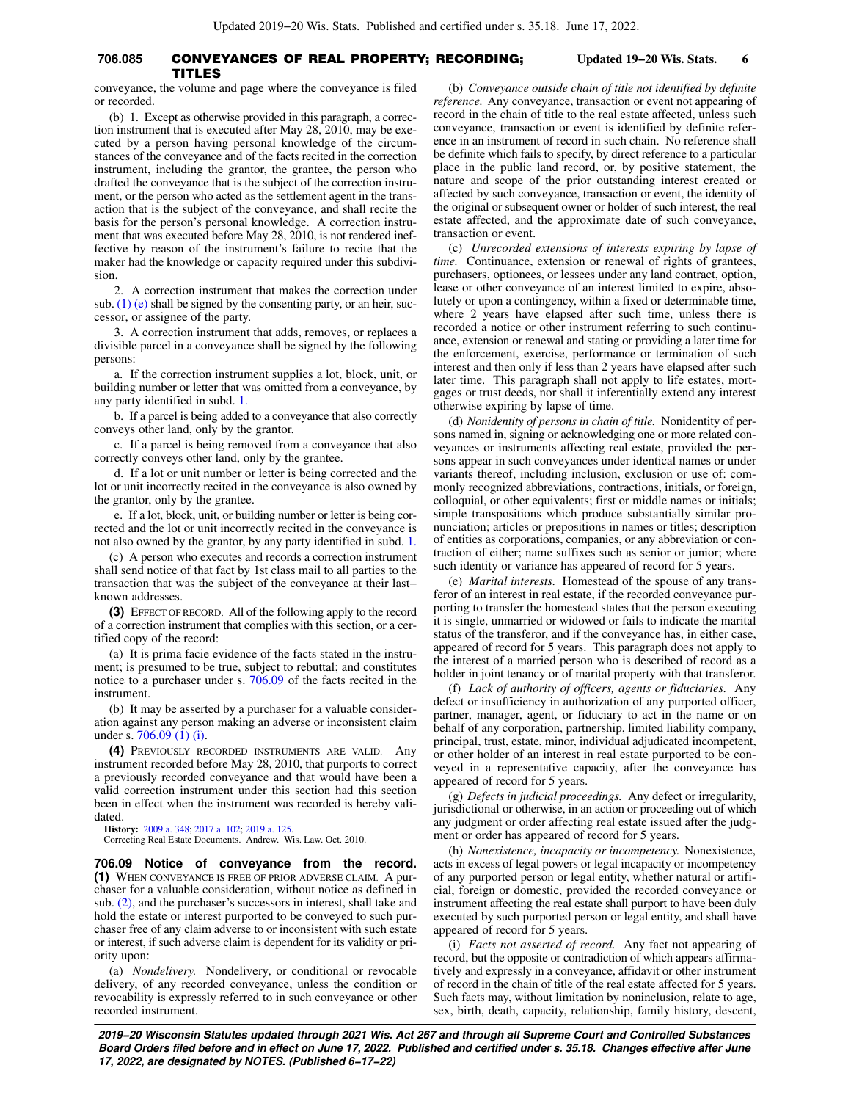# **706.085** CONVEYANCES OF REAL PROPERTY; RECORDING; **Updated 19−20 Wis. Stats. 6** TITLES

conveyance, the volume and page where the conveyance is filed or recorded.

(b) 1. Except as otherwise provided in this paragraph, a correction instrument that is executed after May 28, 2010, may be executed by a person having personal knowledge of the circumstances of the conveyance and of the facts recited in the correction instrument, including the grantor, the grantee, the person who drafted the conveyance that is the subject of the correction instrument, or the person who acted as the settlement agent in the transaction that is the subject of the conveyance, and shall recite the basis for the person's personal knowledge. A correction instrument that was executed before May 28, 2010, is not rendered ineffective by reason of the instrument's failure to recite that the maker had the knowledge or capacity required under this subdivision.

2. A correction instrument that makes the correction under sub. [\(1\) \(e\)](https://docs.legis.wisconsin.gov/document/statutes/706.085(1)(e)) shall be signed by the consenting party, or an heir, successor, or assignee of the party.

3. A correction instrument that adds, removes, or replaces a divisible parcel in a conveyance shall be signed by the following persons:

a. If the correction instrument supplies a lot, block, unit, or building number or letter that was omitted from a conveyance, by any party identified in subd. [1.](https://docs.legis.wisconsin.gov/document/statutes/706.085(2)(b)1.)

b. If a parcel is being added to a conveyance that also correctly conveys other land, only by the grantor.

c. If a parcel is being removed from a conveyance that also correctly conveys other land, only by the grantee.

d. If a lot or unit number or letter is being corrected and the lot or unit incorrectly recited in the conveyance is also owned by the grantor, only by the grantee.

e. If a lot, block, unit, or building number or letter is being corrected and the lot or unit incorrectly recited in the conveyance is not also owned by the grantor, by any party identified in subd. [1.](https://docs.legis.wisconsin.gov/document/statutes/706.085(2)(b)1.)

(c) A person who executes and records a correction instrument shall send notice of that fact by 1st class mail to all parties to the transaction that was the subject of the conveyance at their last− known addresses.

**(3)** EFFECT OF RECORD. All of the following apply to the record of a correction instrument that complies with this section, or a certified copy of the record:

(a) It is prima facie evidence of the facts stated in the instrument; is presumed to be true, subject to rebuttal; and constitutes notice to a purchaser under s. [706.09](https://docs.legis.wisconsin.gov/document/statutes/706.09) of the facts recited in the instrument.

(b) It may be asserted by a purchaser for a valuable consideration against any person making an adverse or inconsistent claim under s. [706.09 \(1\) \(i\)](https://docs.legis.wisconsin.gov/document/statutes/706.09(1)(i)).

**(4)** PREVIOUSLY RECORDED INSTRUMENTS ARE VALID. Any instrument recorded before May 28, 2010, that purports to correct a previously recorded conveyance and that would have been a valid correction instrument under this section had this section been in effect when the instrument was recorded is hereby validated.

**History:** [2009 a. 348](https://docs.legis.wisconsin.gov/document/acts/2009/348); [2017 a. 102](https://docs.legis.wisconsin.gov/document/acts/2017/102); [2019 a. 125.](https://docs.legis.wisconsin.gov/document/acts/2019/125)

Correcting Real Estate Documents. Andrew. Wis. Law. Oct. 2010.

**706.09 Notice of conveyance from the record. (1)** WHEN CONVEYANCE IS FREE OF PRIOR ADVERSE CLAIM. A purchaser for a valuable consideration, without notice as defined in sub. [\(2\)](https://docs.legis.wisconsin.gov/document/statutes/706.09(2)), and the purchaser's successors in interest, shall take and hold the estate or interest purported to be conveyed to such purchaser free of any claim adverse to or inconsistent with such estate or interest, if such adverse claim is dependent for its validity or priority upon:

(a) *Nondelivery.* Nondelivery, or conditional or revocable delivery, of any recorded conveyance, unless the condition or revocability is expressly referred to in such conveyance or other recorded instrument.

(b) *Conveyance outside chain of title not identified by definite reference.* Any conveyance, transaction or event not appearing of record in the chain of title to the real estate affected, unless such conveyance, transaction or event is identified by definite reference in an instrument of record in such chain. No reference shall be definite which fails to specify, by direct reference to a particular place in the public land record, or, by positive statement, the nature and scope of the prior outstanding interest created or affected by such conveyance, transaction or event, the identity of the original or subsequent owner or holder of such interest, the real estate affected, and the approximate date of such conveyance, transaction or event.

(c) *Unrecorded extensions of interests expiring by lapse of time.* Continuance, extension or renewal of rights of grantees, purchasers, optionees, or lessees under any land contract, option, lease or other conveyance of an interest limited to expire, absolutely or upon a contingency, within a fixed or determinable time, where 2 years have elapsed after such time, unless there is recorded a notice or other instrument referring to such continuance, extension or renewal and stating or providing a later time for the enforcement, exercise, performance or termination of such interest and then only if less than 2 years have elapsed after such later time. This paragraph shall not apply to life estates, mortgages or trust deeds, nor shall it inferentially extend any interest otherwise expiring by lapse of time.

(d) *Nonidentity of persons in chain of title.* Nonidentity of persons named in, signing or acknowledging one or more related conveyances or instruments affecting real estate, provided the persons appear in such conveyances under identical names or under variants thereof, including inclusion, exclusion or use of: commonly recognized abbreviations, contractions, initials, or foreign, colloquial, or other equivalents; first or middle names or initials; simple transpositions which produce substantially similar pronunciation; articles or prepositions in names or titles; description of entities as corporations, companies, or any abbreviation or contraction of either; name suffixes such as senior or junior; where such identity or variance has appeared of record for 5 years.

(e) *Marital interests.* Homestead of the spouse of any transferor of an interest in real estate, if the recorded conveyance purporting to transfer the homestead states that the person executing it is single, unmarried or widowed or fails to indicate the marital status of the transferor, and if the conveyance has, in either case, appeared of record for 5 years. This paragraph does not apply to the interest of a married person who is described of record as a holder in joint tenancy or of marital property with that transferor.

(f) *Lack of authority of officers, agents or fiduciaries.* Any defect or insufficiency in authorization of any purported officer, partner, manager, agent, or fiduciary to act in the name or on behalf of any corporation, partnership, limited liability company, principal, trust, estate, minor, individual adjudicated incompetent, or other holder of an interest in real estate purported to be conveyed in a representative capacity, after the conveyance has appeared of record for 5 years.

(g) *Defects in judicial proceedings.* Any defect or irregularity, jurisdictional or otherwise, in an action or proceeding out of which any judgment or order affecting real estate issued after the judgment or order has appeared of record for 5 years.

(h) *Nonexistence, incapacity or incompetency.* Nonexistence, acts in excess of legal powers or legal incapacity or incompetency of any purported person or legal entity, whether natural or artificial, foreign or domestic, provided the recorded conveyance or instrument affecting the real estate shall purport to have been duly executed by such purported person or legal entity, and shall have appeared of record for 5 years.

(i) *Facts not asserted of record.* Any fact not appearing of record, but the opposite or contradiction of which appears affirmatively and expressly in a conveyance, affidavit or other instrument of record in the chain of title of the real estate affected for 5 years. Such facts may, without limitation by noninclusion, relate to age, sex, birth, death, capacity, relationship, family history, descent,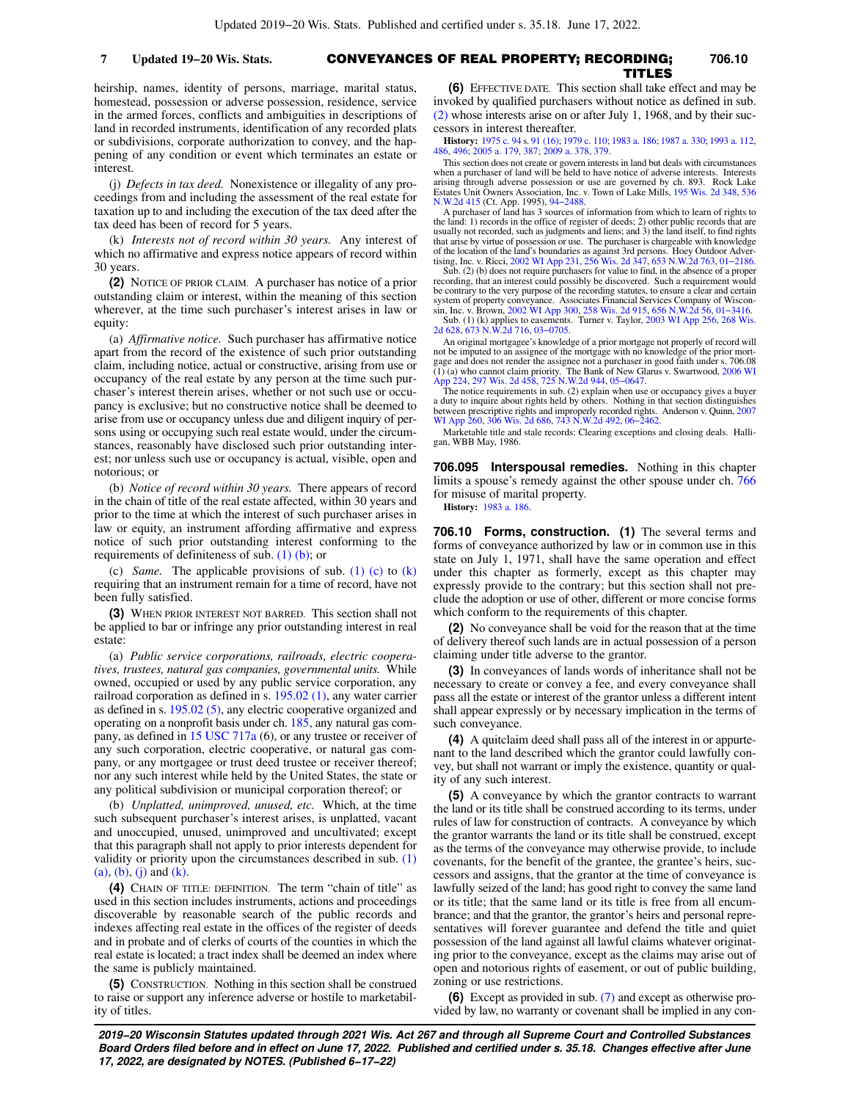#### CONVEYANCES OF REAL PROPERTY; RECORDING; **7 Updated 19−20 Wis. Stats. 706.10** TITLES

heirship, names, identity of persons, marriage, marital status, homestead, possession or adverse possession, residence, service in the armed forces, conflicts and ambiguities in descriptions of land in recorded instruments, identification of any recorded plats or subdivisions, corporate authorization to convey, and the happening of any condition or event which terminates an estate or interest.

(j) *Defects in tax deed.* Nonexistence or illegality of any proceedings from and including the assessment of the real estate for taxation up to and including the execution of the tax deed after the tax deed has been of record for 5 years.

(k) *Interests not of record within 30 years.* Any interest of which no affirmative and express notice appears of record within 30 years.

**(2)** NOTICE OF PRIOR CLAIM. A purchaser has notice of a prior outstanding claim or interest, within the meaning of this section wherever, at the time such purchaser's interest arises in law or equity:

(a) *Affirmative notice.* Such purchaser has affirmative notice apart from the record of the existence of such prior outstanding claim, including notice, actual or constructive, arising from use or occupancy of the real estate by any person at the time such purchaser's interest therein arises, whether or not such use or occupancy is exclusive; but no constructive notice shall be deemed to arise from use or occupancy unless due and diligent inquiry of persons using or occupying such real estate would, under the circumstances, reasonably have disclosed such prior outstanding interest; nor unless such use or occupancy is actual, visible, open and notorious; or

(b) *Notice of record within 30 years.* There appears of record in the chain of title of the real estate affected, within 30 years and prior to the time at which the interest of such purchaser arises in law or equity, an instrument affording affirmative and express notice of such prior outstanding interest conforming to the requirements of definiteness of sub. [\(1\) \(b\);](https://docs.legis.wisconsin.gov/document/statutes/706.09(1)(b)) or

(c) *Same.* The applicable provisions of sub. [\(1\) \(c\)](https://docs.legis.wisconsin.gov/document/statutes/706.09(1)(c)) to [\(k\)](https://docs.legis.wisconsin.gov/document/statutes/706.09(1)(k)) requiring that an instrument remain for a time of record, have not been fully satisfied.

**(3)** WHEN PRIOR INTEREST NOT BARRED. This section shall not be applied to bar or infringe any prior outstanding interest in real estate:

(a) *Public service corporations, railroads, electric cooperatives, trustees, natural gas companies, governmental units.* While owned, occupied or used by any public service corporation, any railroad corporation as defined in s. [195.02 \(1\),](https://docs.legis.wisconsin.gov/document/statutes/195.02(1)) any water carrier as defined in s. [195.02 \(5\),](https://docs.legis.wisconsin.gov/document/statutes/195.02(5)) any electric cooperative organized and operating on a nonprofit basis under ch. [185,](https://docs.legis.wisconsin.gov/document/statutes/ch.%20185) any natural gas company, as defined in [15 USC 717a](https://docs.legis.wisconsin.gov/document/usc/15%20USC%20717a) (6), or any trustee or receiver of any such corporation, electric cooperative, or natural gas company, or any mortgagee or trust deed trustee or receiver thereof; nor any such interest while held by the United States, the state or any political subdivision or municipal corporation thereof; or

(b) *Unplatted, unimproved, unused, etc.* Which, at the time such subsequent purchaser's interest arises, is unplatted, vacant and unoccupied, unused, unimproved and uncultivated; except that this paragraph shall not apply to prior interests dependent for validity or priority upon the circumstances described in sub. [\(1\)](https://docs.legis.wisconsin.gov/document/statutes/706.09(1)(a))  $(a)$ ,  $(b)$ ,  $(j)$  and  $(k)$ .

**(4)** CHAIN OF TITLE: DEFINITION. The term "chain of title" as used in this section includes instruments, actions and proceedings discoverable by reasonable search of the public records and indexes affecting real estate in the offices of the register of deeds and in probate and of clerks of courts of the counties in which the real estate is located; a tract index shall be deemed an index where the same is publicly maintained.

**(5)** CONSTRUCTION. Nothing in this section shall be construed to raise or support any inference adverse or hostile to marketability of titles.

**(6)** EFFECTIVE DATE. This section shall take effect and may be invoked by qualified purchasers without notice as defined in sub. [\(2\)](https://docs.legis.wisconsin.gov/document/statutes/706.09(2)) whose interests arise on or after July 1, 1968, and by their successors in interest thereafter.

**History:** [1975 c. 94](https://docs.legis.wisconsin.gov/document/acts/1975/94) s. [91 \(16\)](https://docs.legis.wisconsin.gov/document/acts/1975/94,%20s.%2091); [1979 c. 110](https://docs.legis.wisconsin.gov/document/acts/1979/110); [1983 a. 186](https://docs.legis.wisconsin.gov/document/acts/1983/186); [1987 a. 330;](https://docs.legis.wisconsin.gov/document/acts/1987/330) [1993 a. 112](https://docs.legis.wisconsin.gov/document/acts/1993/112), [486,](https://docs.legis.wisconsin.gov/document/acts/1993/486) [496;](https://docs.legis.wisconsin.gov/document/acts/1993/496) [2005 a. 179](https://docs.legis.wisconsin.gov/document/acts/2005/179), [387](https://docs.legis.wisconsin.gov/document/acts/2005/387); [2009 a. 378](https://docs.legis.wisconsin.gov/document/acts/2009/378), [379](https://docs.legis.wisconsin.gov/document/acts/2009/379).

This section does not create or govern interests in land but deals with circumstances when a purchaser of land will be held to have notice of adverse interests. Interests arising through adverse possession or use are governed by ch. 893. Rock Lake Estates Unit Owners Association, Inc. v. Town of Lake Mills, [195 Wis. 2d 348](https://docs.legis.wisconsin.gov/document/courts/195%20Wis.%202d%20348), [536](https://docs.legis.wisconsin.gov/document/courts/536%20N.W.2d%20415) [N.W.2d 415](https://docs.legis.wisconsin.gov/document/courts/536%20N.W.2d%20415) (Ct. App. 1995), [94−2488](https://docs.legis.wisconsin.gov/document/wicourtofappeals/94-2488).

A purchaser of land has 3 sources of information from which to learn of rights to the land: 1) records in the office of register of deeds; 2) other public records that are usually not recorded, such as judgments and liens; and 3) the land itself, to find rights that arise by virtue of possession or use. The purchaser is chargeable with knowledge of the location of the land's boundaries as against 3rd persons. Hoey Outdoor Advertising, Inc. v. Ricci, [2002 WI App 231](https://docs.legis.wisconsin.gov/document/courts/2002%20WI%20App%20231), [256 Wis. 2d 347,](https://docs.legis.wisconsin.gov/document/courts/256%20Wis.%202d%20347) [653 N.W.2d 763,](https://docs.legis.wisconsin.gov/document/courts/653%20N.W.2d%20763) 01–2186.<br>Sub. (2) (b) does not require purchasers for value to fin recording, that an interest could possibly be discovered. Such a requirement would<br>be contrary to the very purpose of the recording statutes, to ensure a clear and certain<br>system of property conveyance. Associates Financi sin, Inc. v. Brown, [2002 WI App 300](https://docs.legis.wisconsin.gov/document/courts/2002%20WI%20App%20300), [258 Wis. 2d 915,](https://docs.legis.wisconsin.gov/document/courts/258%20Wis.%202d%20915) [656 N.W.2d 56,](https://docs.legis.wisconsin.gov/document/courts/656%20N.W.2d%2056) [01−3416](https://docs.legis.wisconsin.gov/document/wicourtofappeals/01-3416). Sub. (1) (k) applies to easements. Turner v. Taylor, [2003 WI App 256,](https://docs.legis.wisconsin.gov/document/courts/2003%20WI%20App%20256) [268 Wis.](https://docs.legis.wisconsin.gov/document/courts/268%20Wis.%202d%20628) [2d 628](https://docs.legis.wisconsin.gov/document/courts/268%20Wis.%202d%20628), [673 N.W.2d 716,](https://docs.legis.wisconsin.gov/document/courts/673%20N.W.2d%20716) [03−0705](https://docs.legis.wisconsin.gov/document/wicourtofappeals/03-0705).

An original mortgagee's knowledge of a prior mortgage not properly of record will not be imputed to an assignee of the mortgage with no knowledge of the prior mort-gage and does not render the assignee not a purchaser in good faith under s. 706.08 (1) (a) who cannot claim priority. The Bank of New Glarus v. Swartwood, [2006 WI](https://docs.legis.wisconsin.gov/document/courts/2006%20WI%20App%20224)

[App 224](https://docs.legis.wisconsin.gov/document/courts/2006%20WI%20App%20224), [297 Wis. 2d 458,](https://docs.legis.wisconsin.gov/document/courts/297%20Wis.%202d%20458) [725 N.W.2d 944,](https://docs.legis.wisconsin.gov/document/courts/725%20N.W.2d%20944) [05−0647.](https://docs.legis.wisconsin.gov/document/wicourtofappeals/05-0647) The notice requirements in sub. (2) explain when use or occupancy gives a buyer a duty to inquire about rights held by others. Nothing in that section distinguishes between prescriptive rights and improperly recorded rights. Anderson v. Quinn, [2007](https://docs.legis.wisconsin.gov/document/courts/2007%20WI%20App%20260) [WI App 260](https://docs.legis.wisconsin.gov/document/courts/2007%20WI%20App%20260), [306 Wis. 2d 686,](https://docs.legis.wisconsin.gov/document/courts/306%20Wis.%202d%20686) [743 N.W.2d 492](https://docs.legis.wisconsin.gov/document/courts/743%20N.W.2d%20492), [06−2462](https://docs.legis.wisconsin.gov/document/wicourtofappeals/06-2462).

Marketable title and stale records: Clearing exceptions and closing deals. Halligan, WBB May, 1986.

**706.095 Interspousal remedies.** Nothing in this chapter limits a spouse's remedy against the other spouse under ch. [766](https://docs.legis.wisconsin.gov/document/statutes/ch.%20766) for misuse of marital property.

**History:** [1983 a. 186.](https://docs.legis.wisconsin.gov/document/acts/1983/186)

**706.10 Forms, construction. (1)** The several terms and forms of conveyance authorized by law or in common use in this state on July 1, 1971, shall have the same operation and effect under this chapter as formerly, except as this chapter may expressly provide to the contrary; but this section shall not preclude the adoption or use of other, different or more concise forms which conform to the requirements of this chapter.

**(2)** No conveyance shall be void for the reason that at the time of delivery thereof such lands are in actual possession of a person claiming under title adverse to the grantor.

**(3)** In conveyances of lands words of inheritance shall not be necessary to create or convey a fee, and every conveyance shall pass all the estate or interest of the grantor unless a different intent shall appear expressly or by necessary implication in the terms of such conveyance.

**(4)** A quitclaim deed shall pass all of the interest in or appurtenant to the land described which the grantor could lawfully convey, but shall not warrant or imply the existence, quantity or quality of any such interest.

**(5)** A conveyance by which the grantor contracts to warrant the land or its title shall be construed according to its terms, under rules of law for construction of contracts. A conveyance by which the grantor warrants the land or its title shall be construed, except as the terms of the conveyance may otherwise provide, to include covenants, for the benefit of the grantee, the grantee's heirs, successors and assigns, that the grantor at the time of conveyance is lawfully seized of the land; has good right to convey the same land or its title; that the same land or its title is free from all encumbrance; and that the grantor, the grantor's heirs and personal representatives will forever guarantee and defend the title and quiet possession of the land against all lawful claims whatever originating prior to the conveyance, except as the claims may arise out of open and notorious rights of easement, or out of public building, zoning or use restrictions.

**(6)** Except as provided in sub. [\(7\)](https://docs.legis.wisconsin.gov/document/statutes/706.10(7)) and except as otherwise provided by law, no warranty or covenant shall be implied in any con-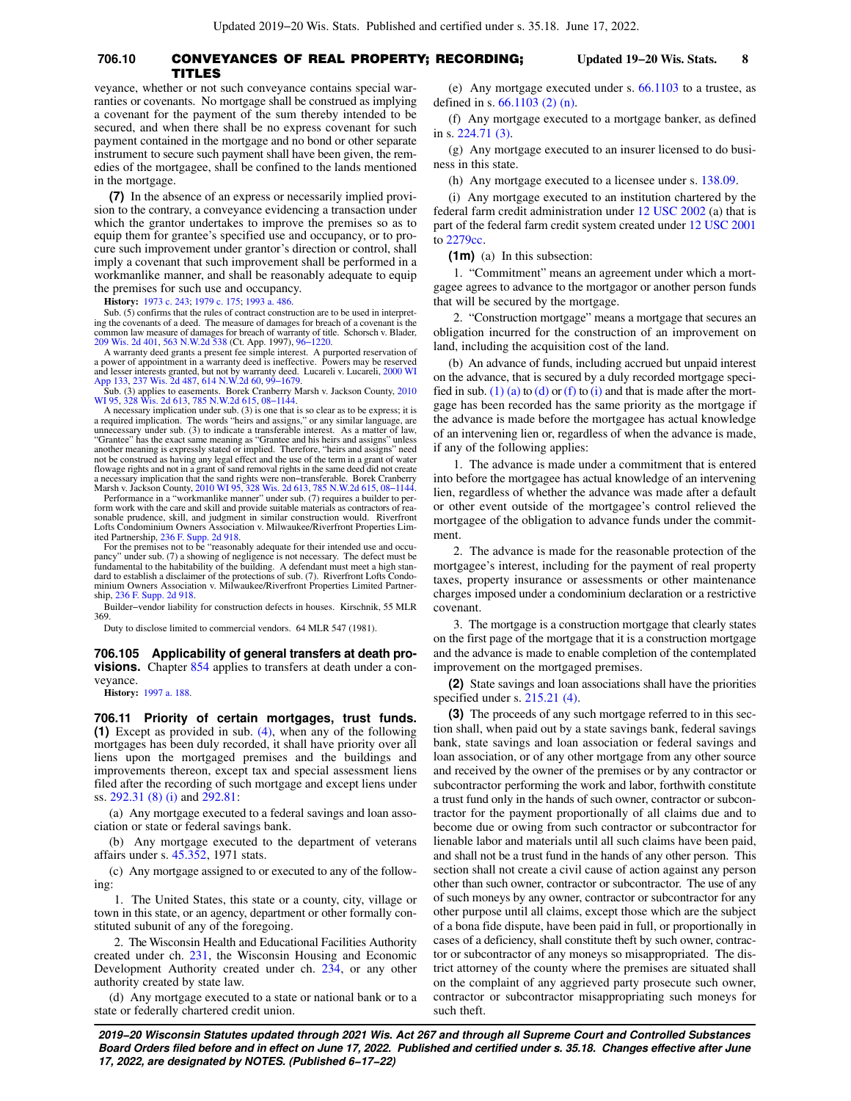## **706.10** CONVEYANCES OF REAL PROPERTY; RECORDING; **Updated 19−20 Wis. Stats. 8** TITLES

veyance, whether or not such conveyance contains special warranties or covenants. No mortgage shall be construed as implying a covenant for the payment of the sum thereby intended to be secured, and when there shall be no express covenant for such payment contained in the mortgage and no bond or other separate instrument to secure such payment shall have been given, the remedies of the mortgagee, shall be confined to the lands mentioned in the mortgage.

**(7)** In the absence of an express or necessarily implied provision to the contrary, a conveyance evidencing a transaction under which the grantor undertakes to improve the premises so as to equip them for grantee's specified use and occupancy, or to procure such improvement under grantor's direction or control, shall imply a covenant that such improvement shall be performed in a workmanlike manner, and shall be reasonably adequate to equip the premises for such use and occupancy.

**History:** [1973 c. 243](https://docs.legis.wisconsin.gov/document/acts/1973/243); [1979 c. 175](https://docs.legis.wisconsin.gov/document/acts/1979/175); [1993 a. 486.](https://docs.legis.wisconsin.gov/document/acts/1993/486)

Sub. (5) confirms that the rules of contract construction are to be used in interpreting the covenants of a deed. The measure of damages for breach of a covenant is the common law measure of damages for breach of warranty of title. Schorsch v. Blader, [209 Wis. 2d 401,](https://docs.legis.wisconsin.gov/document/courts/209%20Wis.%202d%20401) [563 N.W.2d 538](https://docs.legis.wisconsin.gov/document/courts/563%20N.W.2d%20538) (Ct. App. 1997), [96−1220.](https://docs.legis.wisconsin.gov/document/wicourtofappeals/96-1220)

A warranty deed grants a present fee simple interest. A purported reservation of a power of appointment in a warranty deed is ineffective. Powers may be reserved and lesser ved and lesser interests granted, but not by warr

[App 133](https://docs.legis.wisconsin.gov/document/courts/2000%20WI%20App%20133), [237 Wis. 2d 487,](https://docs.legis.wisconsin.gov/document/courts/237%20Wis.%202d%20487) [614 N.W.2d 60,](https://docs.legis.wisconsin.gov/document/courts/614%20N.W.2d%2060) [99−1679](https://docs.legis.wisconsin.gov/document/wicourtofappeals/99-1679). Sub. (3) applies to easements. Borek Cranberry Marsh v. Jackson County, [2010](https://docs.legis.wisconsin.gov/document/courts/2010%20WI%2095) [WI 95](https://docs.legis.wisconsin.gov/document/courts/2010%20WI%2095), [328 Wis. 2d 613](https://docs.legis.wisconsin.gov/document/courts/328%20Wis.%202d%20613), [785 N.W.2d 615,](https://docs.legis.wisconsin.gov/document/courts/785%20N.W.2d%20615) [08−1144.](https://docs.legis.wisconsin.gov/document/wisupremecourt/08-1144)

A necessary implication under sub. (3) is one that is so clear as to be express; it is a required implication. The words "heirs and assigns," or any similar language, are unnecessary under sub. (3) to indicate a transferable interest. As a matter of law, "Grantee" has the exact same meaning as "Grantee and his heirs and assigns" unless another meaning is expressly stated or implied. Therefore, "heirs and assigns" need<br>not be construed as having any legal effect and the use of the term in a grant of water<br>flowage rights and not in a grant of sand removal a necessary implication that the sand rights were non–transferable. Borek Cranberry<br>Marsh v. Jackson County, [2010 WI 95](https://docs.legis.wisconsin.gov/document/courts/2010%20WI%2095), [328 Wis. 2d 613,](https://docs.legis.wisconsin.gov/document/courts/328%20Wis.%202d%20613) [785 N.W.2d 615,](https://docs.legis.wisconsin.gov/document/courts/785%20N.W.2d%20615) 08–1144.<br>- Performance in a "workmanlike manner" under sub. (7) requ

form work with the care and skill and provide suitable materials as contractors of reasonable prudence, skill, and judgment in similar construction would. Riverfront Lofts Condominium Owners Association v. Milwaukee/Riverfront Properties Limited Partnership, [236 F. Supp. 2d 918.](https://docs.legis.wisconsin.gov/document/courts/236%20F.%20Supp.%202d%20918) For the premises not to be "reasonably adequate for their intended use and occu-

pancy" under sub. (7) a showing of negligence is not necessary. The defect must be<br>fundamental to the habitability of the building. A defendant must meet a high stan-<br>dard to establish a disclaimer of the protections of su minium Owners Association v. Milwaukee/Riverfront Properties Limited Partnership, [236 F. Supp. 2d 918](https://docs.legis.wisconsin.gov/document/courts/236%20F.%20Supp.%202d%20918).

Builder−vendor liability for construction defects in houses. Kirschnik, 55 MLR 369.

Duty to disclose limited to commercial vendors. 64 MLR 547 (1981).

**706.105 Applicability of general transfers at death provisions.** Chapter [854](https://docs.legis.wisconsin.gov/document/statutes/ch.%20854) applies to transfers at death under a conveyance.

**History:** [1997 a. 188](https://docs.legis.wisconsin.gov/document/acts/1997/188).

**706.11 Priority of certain mortgages, trust funds. (1)** Except as provided in sub. [\(4\),](https://docs.legis.wisconsin.gov/document/statutes/706.11(4)) when any of the following mortgages has been duly recorded, it shall have priority over all liens upon the mortgaged premises and the buildings and improvements thereon, except tax and special assessment liens filed after the recording of such mortgage and except liens under ss. [292.31 \(8\) \(i\)](https://docs.legis.wisconsin.gov/document/statutes/292.31(8)(i)) and [292.81](https://docs.legis.wisconsin.gov/document/statutes/292.81):

(a) Any mortgage executed to a federal savings and loan association or state or federal savings bank.

(b) Any mortgage executed to the department of veterans affairs under s. [45.352,](https://docs.legis.wisconsin.gov/document/statutes/1971/45.352) 1971 stats.

(c) Any mortgage assigned to or executed to any of the following:

1. The United States, this state or a county, city, village or town in this state, or an agency, department or other formally constituted subunit of any of the foregoing.

2. The Wisconsin Health and Educational Facilities Authority created under ch. [231](https://docs.legis.wisconsin.gov/document/statutes/ch.%20231), the Wisconsin Housing and Economic Development Authority created under ch. [234](https://docs.legis.wisconsin.gov/document/statutes/ch.%20234), or any other authority created by state law.

(d) Any mortgage executed to a state or national bank or to a state or federally chartered credit union.

(e) Any mortgage executed under s. [66.1103](https://docs.legis.wisconsin.gov/document/statutes/66.1103) to a trustee, as defined in s. [66.1103 \(2\) \(n\).](https://docs.legis.wisconsin.gov/document/statutes/66.1103(2)(n))

(f) Any mortgage executed to a mortgage banker, as defined in s. [224.71 \(3\)](https://docs.legis.wisconsin.gov/document/statutes/224.71(3)).

(g) Any mortgage executed to an insurer licensed to do business in this state.

(h) Any mortgage executed to a licensee under s. [138.09.](https://docs.legis.wisconsin.gov/document/statutes/138.09)

(i) Any mortgage executed to an institution chartered by the federal farm credit administration under [12 USC 2002](https://docs.legis.wisconsin.gov/document/usc/12%20USC%202002) (a) that is part of the federal farm credit system created under [12 USC 2001](https://docs.legis.wisconsin.gov/document/usc/12%20USC%202001) to [2279cc](https://docs.legis.wisconsin.gov/document/usc/12%20USC%202279cc).

**(1m)** (a) In this subsection:

1. "Commitment" means an agreement under which a mortgagee agrees to advance to the mortgagor or another person funds that will be secured by the mortgage.

2. "Construction mortgage" means a mortgage that secures an obligation incurred for the construction of an improvement on land, including the acquisition cost of the land.

(b) An advance of funds, including accrued but unpaid interest on the advance, that is secured by a duly recorded mortgage speci-fied in sub. [\(1\) \(a\)](https://docs.legis.wisconsin.gov/document/statutes/706.11(1)(a)) to [\(d\)](https://docs.legis.wisconsin.gov/document/statutes/706.11(1)(d)) or [\(f\)](https://docs.legis.wisconsin.gov/document/statutes/706.11(1)(f)) to [\(i\)](https://docs.legis.wisconsin.gov/document/statutes/706.11(1)(i)) and that is made after the mortgage has been recorded has the same priority as the mortgage if the advance is made before the mortgagee has actual knowledge of an intervening lien or, regardless of when the advance is made, if any of the following applies:

1. The advance is made under a commitment that is entered into before the mortgagee has actual knowledge of an intervening lien, regardless of whether the advance was made after a default or other event outside of the mortgagee's control relieved the mortgagee of the obligation to advance funds under the commitment.

2. The advance is made for the reasonable protection of the mortgagee's interest, including for the payment of real property taxes, property insurance or assessments or other maintenance charges imposed under a condominium declaration or a restrictive covenant.

3. The mortgage is a construction mortgage that clearly states on the first page of the mortgage that it is a construction mortgage and the advance is made to enable completion of the contemplated improvement on the mortgaged premises.

**(2)** State savings and loan associations shall have the priorities specified under s. [215.21 \(4\).](https://docs.legis.wisconsin.gov/document/statutes/215.21(4))

**(3)** The proceeds of any such mortgage referred to in this section shall, when paid out by a state savings bank, federal savings bank, state savings and loan association or federal savings and loan association, or of any other mortgage from any other source and received by the owner of the premises or by any contractor or subcontractor performing the work and labor, forthwith constitute a trust fund only in the hands of such owner, contractor or subcontractor for the payment proportionally of all claims due and to become due or owing from such contractor or subcontractor for lienable labor and materials until all such claims have been paid, and shall not be a trust fund in the hands of any other person. This section shall not create a civil cause of action against any person other than such owner, contractor or subcontractor. The use of any of such moneys by any owner, contractor or subcontractor for any other purpose until all claims, except those which are the subject of a bona fide dispute, have been paid in full, or proportionally in cases of a deficiency, shall constitute theft by such owner, contractor or subcontractor of any moneys so misappropriated. The district attorney of the county where the premises are situated shall on the complaint of any aggrieved party prosecute such owner, contractor or subcontractor misappropriating such moneys for such theft.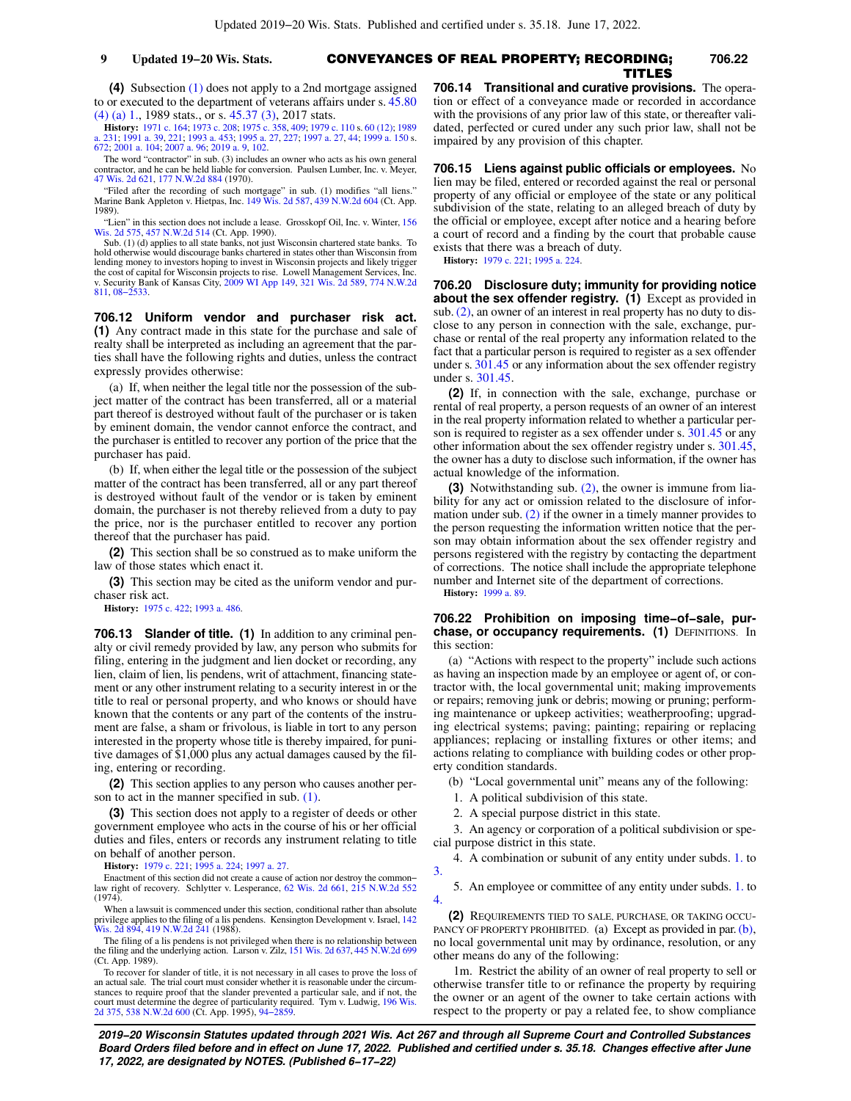## CONVEYANCES OF REAL PROPERTY; RECORDING; **9 Updated 19−20 Wis. Stats. 706.22** TITLES

**(4)** Subsection [\(1\)](https://docs.legis.wisconsin.gov/document/statutes/706.11(1)) does not apply to a 2nd mortgage assigned to or executed to the department of veterans affairs under s. [45.80](https://docs.legis.wisconsin.gov/document/statutes/1989/45.80(4)(a)1.) [\(4\) \(a\) 1.,](https://docs.legis.wisconsin.gov/document/statutes/1989/45.80(4)(a)1.) 1989 stats., or s. [45.37 \(3\),](https://docs.legis.wisconsin.gov/document/statutes/2017/45.37(3)) 2017 stats.

**History:** [1971 c. 164;](https://docs.legis.wisconsin.gov/document/acts/1971/164) [1973 c. 208;](https://docs.legis.wisconsin.gov/document/acts/1973/208) [1975 c. 358](https://docs.legis.wisconsin.gov/document/acts/1975/358), [409](https://docs.legis.wisconsin.gov/document/acts/1975/409); [1979 c. 110](https://docs.legis.wisconsin.gov/document/acts/1979/110) s. [60 \(12\);](https://docs.legis.wisconsin.gov/document/acts/1979/110,%20s.%2060) [1989](https://docs.legis.wisconsin.gov/document/acts/1989/231) [a. 231;](https://docs.legis.wisconsin.gov/document/acts/1989/231) [1991 a. 39,](https://docs.legis.wisconsin.gov/document/acts/1991/39) [221;](https://docs.legis.wisconsin.gov/document/acts/1991/221) [1993 a. 453;](https://docs.legis.wisconsin.gov/document/acts/1993/453) [1995 a. 27,](https://docs.legis.wisconsin.gov/document/acts/1995/27) [227;](https://docs.legis.wisconsin.gov/document/acts/1995/227) [1997 a. 27](https://docs.legis.wisconsin.gov/document/acts/1997/27), [44;](https://docs.legis.wisconsin.gov/document/acts/1997/44) [1999 a. 150](https://docs.legis.wisconsin.gov/document/acts/1999/150) s. [672](https://docs.legis.wisconsin.gov/document/acts/1999/150,%20s.%20672); [2001 a. 104;](https://docs.legis.wisconsin.gov/document/acts/2001/104) [2007 a. 96](https://docs.legis.wisconsin.gov/document/acts/2007/96); [2019 a. 9,](https://docs.legis.wisconsin.gov/document/acts/2019/9) [102.](https://docs.legis.wisconsin.gov/document/acts/2019/102)

The word "contractor" in sub. (3) includes an owner who acts as his own general contractor, and he can be held liable for conversion. Paulsen Lumber, Inc. v. Meyer, [47 Wis. 2d 621](https://docs.legis.wisconsin.gov/document/courts/47%20Wis.%202d%20621), [177 N.W.2d 884](https://docs.legis.wisconsin.gov/document/courts/177%20N.W.2d%20884) (1970).

"Filed after the recording of such mortgage" in sub. (1) modifies "all liens." Marine Bank Appleton v. Hietpas, Inc. [149 Wis. 2d 587](https://docs.legis.wisconsin.gov/document/courts/149%20Wis.%202d%20587), [439 N.W.2d 604](https://docs.legis.wisconsin.gov/document/courts/439%20N.W.2d%20604) (Ct. App. 1989).

"Lien" in this section does not include a lease. Grosskopf Oil, Inc. v. Winter, [156](https://docs.legis.wisconsin.gov/document/courts/156%20Wis.%202d%20575) [Wis. 2d 575,](https://docs.legis.wisconsin.gov/document/courts/156%20Wis.%202d%20575) [457 N.W.2d 514](https://docs.legis.wisconsin.gov/document/courts/457%20N.W.2d%20514) (Ct. App. 1990).

Sub. (1) (d) applies to all state banks, not just Wisconsin chartered state banks. To hold otherwise would discourage banks chartered in states other than Wisconsin from lending money to investors hoping to invest in Wisconsin projects and likely trigger the cost of capital for Wisconsin projects to rise. Lowell Management Services, Inc. v. Security Bank of Kansas City, [2009 WI App 149](https://docs.legis.wisconsin.gov/document/courts/2009%20WI%20App%20149), [321 Wis. 2d 589](https://docs.legis.wisconsin.gov/document/courts/321%20Wis.%202d%20589), [774 N.W.2d](https://docs.legis.wisconsin.gov/document/courts/774%20N.W.2d%20811) [811](https://docs.legis.wisconsin.gov/document/courts/774%20N.W.2d%20811), [08−2533](https://docs.legis.wisconsin.gov/document/wicourtofappeals/08-2533).

**706.12 Uniform vendor and purchaser risk act. (1)** Any contract made in this state for the purchase and sale of realty shall be interpreted as including an agreement that the parties shall have the following rights and duties, unless the contract expressly provides otherwise:

(a) If, when neither the legal title nor the possession of the subject matter of the contract has been transferred, all or a material part thereof is destroyed without fault of the purchaser or is taken by eminent domain, the vendor cannot enforce the contract, and the purchaser is entitled to recover any portion of the price that the purchaser has paid.

(b) If, when either the legal title or the possession of the subject matter of the contract has been transferred, all or any part thereof is destroyed without fault of the vendor or is taken by eminent domain, the purchaser is not thereby relieved from a duty to pay the price, nor is the purchaser entitled to recover any portion thereof that the purchaser has paid.

**(2)** This section shall be so construed as to make uniform the law of those states which enact it.

**(3)** This section may be cited as the uniform vendor and purchaser risk act.

**History:** [1975 c. 422](https://docs.legis.wisconsin.gov/document/acts/1975/422); [1993 a. 486](https://docs.legis.wisconsin.gov/document/acts/1993/486).

**706.13 Slander of title. (1)** In addition to any criminal penalty or civil remedy provided by law, any person who submits for filing, entering in the judgment and lien docket or recording, any lien, claim of lien, lis pendens, writ of attachment, financing statement or any other instrument relating to a security interest in or the title to real or personal property, and who knows or should have known that the contents or any part of the contents of the instrument are false, a sham or frivolous, is liable in tort to any person interested in the property whose title is thereby impaired, for punitive damages of \$1,000 plus any actual damages caused by the filing, entering or recording.

**(2)** This section applies to any person who causes another person to act in the manner specified in sub. [\(1\).](https://docs.legis.wisconsin.gov/document/statutes/706.13(1))

**(3)** This section does not apply to a register of deeds or other government employee who acts in the course of his or her official duties and files, enters or records any instrument relating to title on behalf of another person.

**History:** [1979 c. 221](https://docs.legis.wisconsin.gov/document/acts/1979/221); [1995 a. 224](https://docs.legis.wisconsin.gov/document/acts/1995/224); [1997 a. 27](https://docs.legis.wisconsin.gov/document/acts/1997/27).

Enactment of this section did not create a cause of action nor destroy the common− law right of recovery. Schlytter v. Lesperance, [62 Wis. 2d 661,](https://docs.legis.wisconsin.gov/document/courts/62%20Wis.%202d%20661) [215 N.W.2d 552](https://docs.legis.wisconsin.gov/document/courts/215%20N.W.2d%20552) (1974).

When a lawsuit is commenced under this section, conditional rather than absolute privilege applies to the filing of a lis pendens. Kensington Development v. Israel, [142](https://docs.legis.wisconsin.gov/document/courts/142%20Wis.%202d%20894) [Wis. 2d 894,](https://docs.legis.wisconsin.gov/document/courts/142%20Wis.%202d%20894) [419 N.W.2d 241](https://docs.legis.wisconsin.gov/document/courts/419%20N.W.2d%20241) (1988).

The filing of a lis pendens is not privileged when there is no relationship between<br>the filing and the underlying action. Larson v. Zilz, [151 Wis. 2d 637](https://docs.legis.wisconsin.gov/document/courts/151%20Wis.%202d%20637), [445 N.W.2d 699](https://docs.legis.wisconsin.gov/document/courts/445%20N.W.2d%20699) (Ct. App. 1989).

To recover for slander of title, it is not necessary in all cases to prove the loss of an actual sale. The trial court must consider whether it is reasonable under the circum-stances to require proof that the slander prevented a particular sale, and if not, the court must determine the degree of particularity required. Tym v. Ludwig, [196 Wis.](https://docs.legis.wisconsin.gov/document/courts/196%20Wis.%202d%20375) [2d 375](https://docs.legis.wisconsin.gov/document/courts/196%20Wis.%202d%20375), [538 N.W.2d 600](https://docs.legis.wisconsin.gov/document/courts/538%20N.W.2d%20600) (Ct. App. 1995), [94−2859](https://docs.legis.wisconsin.gov/document/wicourtofappeals/94-2859).

**706.14 Transitional and curative provisions.** The operation or effect of a conveyance made or recorded in accordance with the provisions of any prior law of this state, or thereafter validated, perfected or cured under any such prior law, shall not be impaired by any provision of this chapter.

**706.15 Liens against public officials or employees.** No lien may be filed, entered or recorded against the real or personal property of any official or employee of the state or any political subdivision of the state, relating to an alleged breach of duty by the official or employee, except after notice and a hearing before a court of record and a finding by the court that probable cause exists that there was a breach of duty.

**History:** [1979 c. 221;](https://docs.legis.wisconsin.gov/document/acts/1979/221) [1995 a. 224](https://docs.legis.wisconsin.gov/document/acts/1995/224).

**706.20 Disclosure duty; immunity for providing notice about the sex offender registry. (1)** Except as provided in sub. [\(2\),](https://docs.legis.wisconsin.gov/document/statutes/706.20(2)) an owner of an interest in real property has no duty to disclose to any person in connection with the sale, exchange, purchase or rental of the real property any information related to the fact that a particular person is required to register as a sex offender under s. [301.45](https://docs.legis.wisconsin.gov/document/statutes/301.45) or any information about the sex offender registry under s. [301.45.](https://docs.legis.wisconsin.gov/document/statutes/301.45)

**(2)** If, in connection with the sale, exchange, purchase or rental of real property, a person requests of an owner of an interest in the real property information related to whether a particular person is required to register as a sex offender under s. [301.45](https://docs.legis.wisconsin.gov/document/statutes/301.45) or any other information about the sex offender registry under s. [301.45,](https://docs.legis.wisconsin.gov/document/statutes/301.45) the owner has a duty to disclose such information, if the owner has actual knowledge of the information.

**(3)** Notwithstanding sub. [\(2\),](https://docs.legis.wisconsin.gov/document/statutes/706.20(2)) the owner is immune from liability for any act or omission related to the disclosure of information under sub. [\(2\)](https://docs.legis.wisconsin.gov/document/statutes/706.20(2)) if the owner in a timely manner provides to the person requesting the information written notice that the person may obtain information about the sex offender registry and persons registered with the registry by contacting the department of corrections. The notice shall include the appropriate telephone number and Internet site of the department of corrections. **History:** [1999 a. 89](https://docs.legis.wisconsin.gov/document/acts/1999/89).

**706.22 Prohibition on imposing time−of−sale, pur**chase, or occupancy requirements. (1) DEFINITIONS. In this section:

(a) "Actions with respect to the property" include such actions as having an inspection made by an employee or agent of, or contractor with, the local governmental unit; making improvements or repairs; removing junk or debris; mowing or pruning; performing maintenance or upkeep activities; weatherproofing; upgrading electrical systems; paving; painting; repairing or replacing appliances; replacing or installing fixtures or other items; and actions relating to compliance with building codes or other property condition standards.

(b) "Local governmental unit" means any of the following:

1. A political subdivision of this state.

2. A special purpose district in this state.

3. An agency or corporation of a political subdivision or special purpose district in this state.

4. A combination or subunit of any entity under subds. [1.](https://docs.legis.wisconsin.gov/document/statutes/706.22(1)(b)1.) to

5. An employee or committee of any entity under subds. [1.](https://docs.legis.wisconsin.gov/document/statutes/706.22(1)(b)1.) to [4.](https://docs.legis.wisconsin.gov/document/statutes/706.22(1)(b)4.)

**(2)** REQUIREMENTS TIED TO SALE, PURCHASE, OR TAKING OCCU-PANCY OF PROPERTY PROHIBITED. (a) Except as provided in par. [\(b\),](https://docs.legis.wisconsin.gov/document/statutes/706.22(2)(b)) no local governmental unit may by ordinance, resolution, or any other means do any of the following:

1m. Restrict the ability of an owner of real property to sell or otherwise transfer title to or refinance the property by requiring the owner or an agent of the owner to take certain actions with respect to the property or pay a related fee, to show compliance

**2019−20 Wisconsin Statutes updated through 2021 Wis. Act 267 and through all Supreme Court and Controlled Substances Board Orders filed before and in effect on June 17, 2022. Published and certified under s. 35.18. Changes effective after June 17, 2022, are designated by NOTES. (Published 6−17−22)**

[3.](https://docs.legis.wisconsin.gov/document/statutes/706.22(1)(b)3.)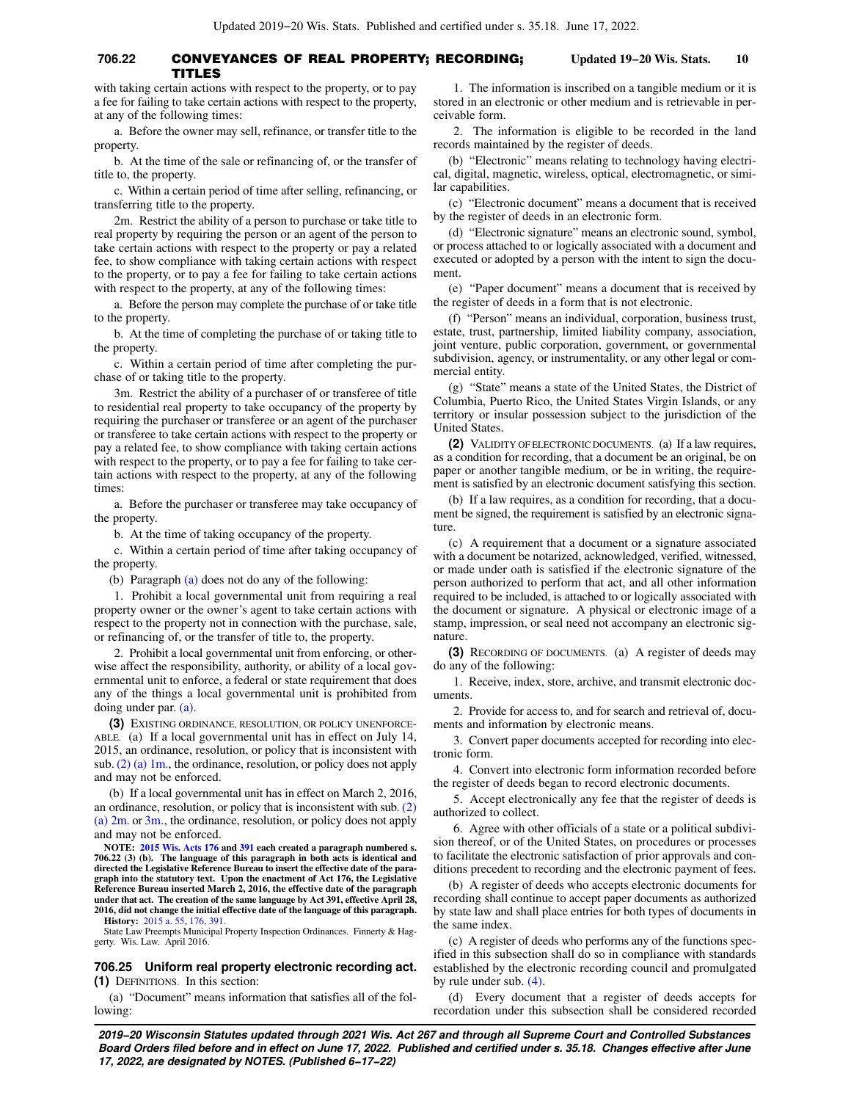#### **706.22** CONVEYANCES OF REAL PROPERTY; RECORDING; **Updated 19−20 Wis. Stats. 10** TITLES

with taking certain actions with respect to the property, or to pay a fee for failing to take certain actions with respect to the property, at any of the following times:

a. Before the owner may sell, refinance, or transfer title to the property.

b. At the time of the sale or refinancing of, or the transfer of title to, the property.

c. Within a certain period of time after selling, refinancing, or transferring title to the property.

2m. Restrict the ability of a person to purchase or take title to real property by requiring the person or an agent of the person to take certain actions with respect to the property or pay a related fee, to show compliance with taking certain actions with respect to the property, or to pay a fee for failing to take certain actions with respect to the property, at any of the following times:

a. Before the person may complete the purchase of or take title to the property.

b. At the time of completing the purchase of or taking title to the property.

c. Within a certain period of time after completing the purchase of or taking title to the property.

3m. Restrict the ability of a purchaser of or transferee of title to residential real property to take occupancy of the property by requiring the purchaser or transferee or an agent of the purchaser or transferee to take certain actions with respect to the property or pay a related fee, to show compliance with taking certain actions with respect to the property, or to pay a fee for failing to take certain actions with respect to the property, at any of the following times:

a. Before the purchaser or transferee may take occupancy of the property.

b. At the time of taking occupancy of the property.

c. Within a certain period of time after taking occupancy of the property.

(b) Paragraph [\(a\)](https://docs.legis.wisconsin.gov/document/statutes/706.22(2)(a)) does not do any of the following:

1. Prohibit a local governmental unit from requiring a real property owner or the owner's agent to take certain actions with respect to the property not in connection with the purchase, sale, or refinancing of, or the transfer of title to, the property.

2. Prohibit a local governmental unit from enforcing, or otherwise affect the responsibility, authority, or ability of a local governmental unit to enforce, a federal or state requirement that does any of the things a local governmental unit is prohibited from doing under par. [\(a\)](https://docs.legis.wisconsin.gov/document/statutes/706.22(2)(a)).

**(3)** EXISTING ORDINANCE, RESOLUTION, OR POLICY UNENFORCE-ABLE. (a) If a local governmental unit has in effect on July 14, 2015, an ordinance, resolution, or policy that is inconsistent with sub.[\(2\) \(a\) 1m.](https://docs.legis.wisconsin.gov/document/statutes/706.22(2)(a)1m.), the ordinance, resolution, or policy does not apply and may not be enforced.

(b) If a local governmental unit has in effect on March 2, 2016, an ordinance, resolution, or policy that is inconsistent with sub. [\(2\)](https://docs.legis.wisconsin.gov/document/statutes/706.22(2)(a)2m.) [\(a\) 2m.](https://docs.legis.wisconsin.gov/document/statutes/706.22(2)(a)2m.) or [3m.](https://docs.legis.wisconsin.gov/document/statutes/706.22(2)(a)3m.), the ordinance, resolution, or policy does not apply and may not be enforced.

**NOTE: [2015 Wis. Acts 176](https://docs.legis.wisconsin.gov/document/acts/2015/176) and [391](https://docs.legis.wisconsin.gov/document/acts/2015/391) each created a paragraph numbered s. 706.22 (3) (b). The language of this paragraph in both acts is identical and directed the Legislative Reference Bureau to insert the effective date of the paragraph into the statutory text. Upon the enactment of Act 176, the Legislative Reference Bureau inserted March 2, 2016, the effective date of the paragraph under that act. The creation of the same language by Act 391, effective April 28, 2016, did not change the initial effective date of the language of this paragraph. History:** [2015 a. 55,](https://docs.legis.wisconsin.gov/document/acts/2015/55) [176,](https://docs.legis.wisconsin.gov/document/acts/2015/176) [391.](https://docs.legis.wisconsin.gov/document/acts/2015/391)

State Law Preempts Municipal Property Inspection Ordinances. Finnerty & Haggerty. Wis. Law. April 2016.

**706.25 Uniform real property electronic recording act. (1)** DEFINITIONS. In this section:

(a) "Document" means information that satisfies all of the following:

1. The information is inscribed on a tangible medium or it is stored in an electronic or other medium and is retrievable in perceivable form.

2. The information is eligible to be recorded in the land records maintained by the register of deeds.

(b) "Electronic" means relating to technology having electrical, digital, magnetic, wireless, optical, electromagnetic, or similar capabilities.

(c) "Electronic document" means a document that is received by the register of deeds in an electronic form.

(d) "Electronic signature" means an electronic sound, symbol, or process attached to or logically associated with a document and executed or adopted by a person with the intent to sign the document.

(e) "Paper document" means a document that is received by the register of deeds in a form that is not electronic.

(f) "Person" means an individual, corporation, business trust, estate, trust, partnership, limited liability company, association, joint venture, public corporation, government, or governmental subdivision, agency, or instrumentality, or any other legal or commercial entity.

(g) "State" means a state of the United States, the District of Columbia, Puerto Rico, the United States Virgin Islands, or any territory or insular possession subject to the jurisdiction of the United States.

**(2)** VALIDITY OF ELECTRONIC DOCUMENTS. (a) If a law requires, as a condition for recording, that a document be an original, be on paper or another tangible medium, or be in writing, the requirement is satisfied by an electronic document satisfying this section.

(b) If a law requires, as a condition for recording, that a document be signed, the requirement is satisfied by an electronic signature.

(c) A requirement that a document or a signature associated with a document be notarized, acknowledged, verified, witnessed, or made under oath is satisfied if the electronic signature of the person authorized to perform that act, and all other information required to be included, is attached to or logically associated with the document or signature. A physical or electronic image of a stamp, impression, or seal need not accompany an electronic signature.

**(3)** RECORDING OF DOCUMENTS. (a) A register of deeds may do any of the following:

1. Receive, index, store, archive, and transmit electronic documents.

2. Provide for access to, and for search and retrieval of, documents and information by electronic means.

3. Convert paper documents accepted for recording into electronic form.

4. Convert into electronic form information recorded before the register of deeds began to record electronic documents.

5. Accept electronically any fee that the register of deeds is authorized to collect.

6. Agree with other officials of a state or a political subdivision thereof, or of the United States, on procedures or processes to facilitate the electronic satisfaction of prior approvals and conditions precedent to recording and the electronic payment of fees.

(b) A register of deeds who accepts electronic documents for recording shall continue to accept paper documents as authorized by state law and shall place entries for both types of documents in the same index.

(c) A register of deeds who performs any of the functions specified in this subsection shall do so in compliance with standards established by the electronic recording council and promulgated by rule under sub. [\(4\)](https://docs.legis.wisconsin.gov/document/statutes/706.25(4)).

(d) Every document that a register of deeds accepts for recordation under this subsection shall be considered recorded